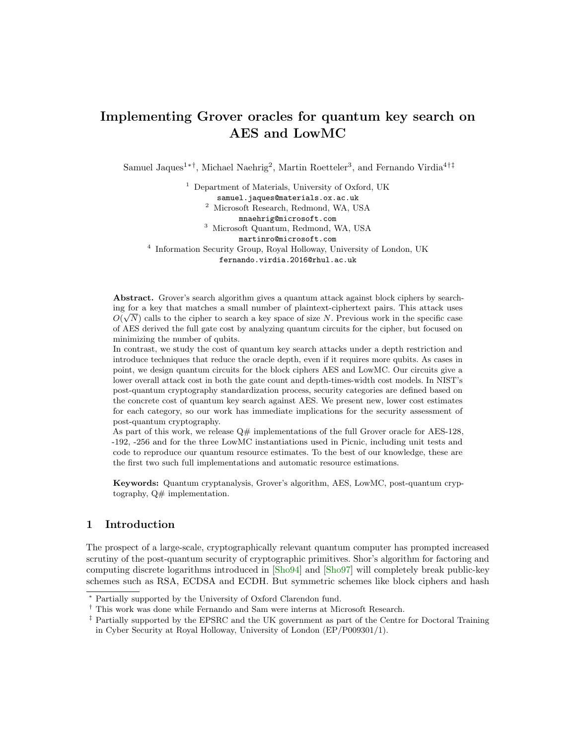# Implementing Grover oracles for quantum key search on AES and LowMC

Samuel Jaques<sup>1\*†</sup>, Michael Naehrig<sup>2</sup>, Martin Roetteler<sup>3</sup>, and Fernando Virdia<sup>4†‡</sup>

<sup>1</sup> Department of Materials, University of Oxford, UK samuel.jaques@materials.ox.ac.uk <sup>2</sup> Microsoft Research, Redmond, WA, USA mnaehrig@microsoft.com <sup>3</sup> Microsoft Quantum, Redmond, WA, USA martinro@microsoft.com 4 Information Security Group, Royal Holloway, University of London, UK fernando.virdia.2016@rhul.ac.uk

Abstract. Grover's search algorithm gives a quantum attack against block ciphers by searching for a key that matches a small number of plaintext-ciphertext pairs. This attack uses √  $O(\sqrt{N})$  calls to the cipher to search a key space of size N. Previous work in the specific case of AES derived the full gate cost by analyzing quantum circuits for the cipher, but focused on minimizing the number of qubits.

In contrast, we study the cost of quantum key search attacks under a depth restriction and introduce techniques that reduce the oracle depth, even if it requires more qubits. As cases in point, we design quantum circuits for the block ciphers AES and LowMC. Our circuits give a lower overall attack cost in both the gate count and depth-times-width cost models. In NIST's post-quantum cryptography standardization process, security categories are defined based on the concrete cost of quantum key search against AES. We present new, lower cost estimates for each category, so our work has immediate implications for the security assessment of post-quantum cryptography.

As part of this work, we release  $Q\#$  implementations of the full Grover oracle for AES-128, -192, -256 and for the three LowMC instantiations used in Picnic, including unit tests and code to reproduce our quantum resource estimates. To the best of our knowledge, these are the first two such full implementations and automatic resource estimations.

Keywords: Quantum cryptanalysis, Grover's algorithm, AES, LowMC, post-quantum cryptography,  $Q#$  implementation.

# 1 Introduction

The prospect of a large-scale, cryptographically relevant quantum computer has prompted increased scrutiny of the post-quantum security of cryptographic primitives. Shor's algorithm for factoring and computing discrete logarithms introduced in [\[Sho94\]](#page-33-0) and [\[Sho97\]](#page-33-1) will completely break public-key schemes such as RSA, ECDSA and ECDH. But symmetric schemes like block ciphers and hash

<sup>∗</sup> Partially supported by the University of Oxford Clarendon fund.

<sup>†</sup> This work was done while Fernando and Sam were interns at Microsoft Research.

<sup>‡</sup> Partially supported by the EPSRC and the UK government as part of the Centre for Doctoral Training in Cyber Security at Royal Holloway, University of London (EP/P009301/1).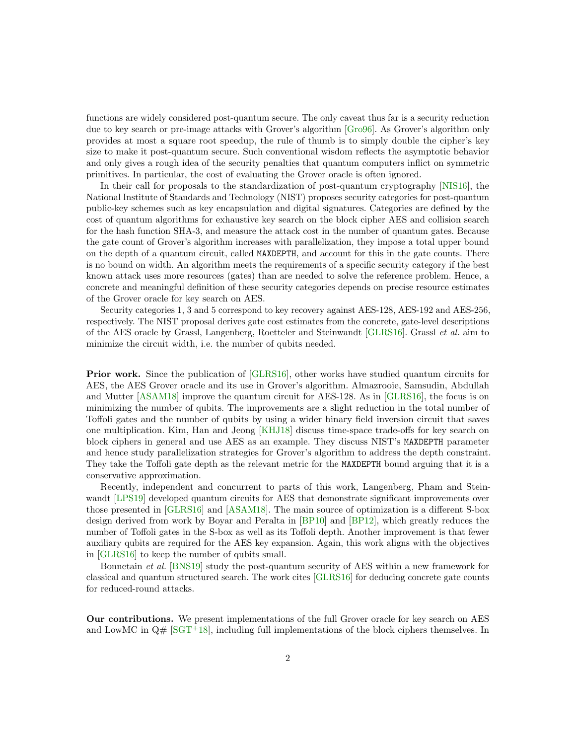functions are widely considered post-quantum secure. The only caveat thus far is a security reduction due to key search or pre-image attacks with Grover's algorithm [\[Gro96\]](#page-32-0). As Grover's algorithm only provides at most a square root speedup, the rule of thumb is to simply double the cipher's key size to make it post-quantum secure. Such conventional wisdom reflects the asymptotic behavior and only gives a rough idea of the security penalties that quantum computers inflict on symmetric primitives. In particular, the cost of evaluating the Grover oracle is often ignored.

In their call for proposals to the standardization of post-quantum cryptography [\[NIS16\]](#page-32-1), the National Institute of Standards and Technology (NIST) proposes security categories for post-quantum public-key schemes such as key encapsulation and digital signatures. Categories are defined by the cost of quantum algorithms for exhaustive key search on the block cipher AES and collision search for the hash function SHA-3, and measure the attack cost in the number of quantum gates. Because the gate count of Grover's algorithm increases with parallelization, they impose a total upper bound on the depth of a quantum circuit, called MAXDEPTH, and account for this in the gate counts. There is no bound on width. An algorithm meets the requirements of a specific security category if the best known attack uses more resources (gates) than are needed to solve the reference problem. Hence, a concrete and meaningful definition of these security categories depends on precise resource estimates of the Grover oracle for key search on AES.

Security categories 1, 3 and 5 correspond to key recovery against AES-128, AES-192 and AES-256, respectively. The NIST proposal derives gate cost estimates from the concrete, gate-level descriptions of the AES oracle by Grassl, Langenberg, Roetteler and Steinwandt [\[GLRS16\]](#page-32-2). Grassl et al. aim to minimize the circuit width, i.e. the number of qubits needed.

Prior work. Since the publication of [\[GLRS16\]](#page-32-2), other works have studied quantum circuits for AES, the AES Grover oracle and its use in Grover's algorithm. Almazrooie, Samsudin, Abdullah and Mutter [\[ASAM18\]](#page-31-0) improve the quantum circuit for AES-128. As in [\[GLRS16\]](#page-32-2), the focus is on minimizing the number of qubits. The improvements are a slight reduction in the total number of Toffoli gates and the number of qubits by using a wider binary field inversion circuit that saves one multiplication. Kim, Han and Jeong [\[KHJ18\]](#page-32-3) discuss time-space trade-offs for key search on block ciphers in general and use AES as an example. They discuss NIST's MAXDEPTH parameter and hence study parallelization strategies for Grover's algorithm to address the depth constraint. They take the Toffoli gate depth as the relevant metric for the MAXDEPTH bound arguing that it is a conservative approximation.

Recently, independent and concurrent to parts of this work, Langenberg, Pham and Steinwandt [\[LPS19\]](#page-32-4) developed quantum circuits for AES that demonstrate significant improvements over those presented in [\[GLRS16\]](#page-32-2) and [\[ASAM18\]](#page-31-0). The main source of optimization is a different S-box design derived from work by Boyar and Peralta in [\[BP10\]](#page-31-1) and [\[BP12\]](#page-31-2), which greatly reduces the number of Toffoli gates in the S-box as well as its Toffoli depth. Another improvement is that fewer auxiliary qubits are required for the AES key expansion. Again, this work aligns with the objectives in [\[GLRS16\]](#page-32-2) to keep the number of qubits small.

Bonnetain et al. [\[BNS19\]](#page-31-3) study the post-quantum security of AES within a new framework for classical and quantum structured search. The work cites [\[GLRS16\]](#page-32-2) for deducing concrete gate counts for reduced-round attacks.

Our contributions. We present implementations of the full Grover oracle for key search on AES and LowMC in  $Q#$  [\[SGT](#page-33-2)<sup>+18]</sup>, including full implementations of the block ciphers themselves. In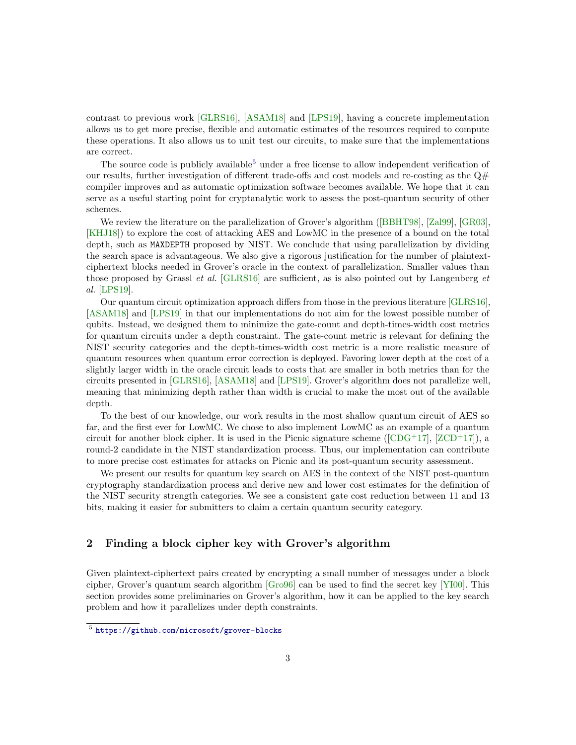contrast to previous work [\[GLRS16\]](#page-32-2), [\[ASAM18\]](#page-31-0) and [\[LPS19\]](#page-32-4), having a concrete implementation allows us to get more precise, flexible and automatic estimates of the resources required to compute these operations. It also allows us to unit test our circuits, to make sure that the implementations are correct.

The source code is publicly available<sup>[5](#page-2-0)</sup> under a free license to allow independent verification of our results, further investigation of different trade-offs and cost models and re-costing as the  $Q#$ compiler improves and as automatic optimization software becomes available. We hope that it can serve as a useful starting point for cryptanalytic work to assess the post-quantum security of other schemes.

We review the literature on the parallelization of Grover's algorithm ([\[BBHT98\]](#page-31-4), [\[Zal99\]](#page-33-3), [\[GR03\]](#page-32-5), [\[KHJ18\]](#page-32-3)) to explore the cost of attacking AES and LowMC in the presence of a bound on the total depth, such as MAXDEPTH proposed by NIST. We conclude that using parallelization by dividing the search space is advantageous. We also give a rigorous justification for the number of plaintextciphertext blocks needed in Grover's oracle in the context of parallelization. Smaller values than those proposed by Grassl *et al.* [\[GLRS16\]](#page-32-2) are sufficient, as is also pointed out by Langenberg *et* al. [\[LPS19\]](#page-32-4).

Our quantum circuit optimization approach differs from those in the previous literature [\[GLRS16\]](#page-32-2), [\[ASAM18\]](#page-31-0) and [\[LPS19\]](#page-32-4) in that our implementations do not aim for the lowest possible number of qubits. Instead, we designed them to minimize the gate-count and depth-times-width cost metrics for quantum circuits under a depth constraint. The gate-count metric is relevant for defining the NIST security categories and the depth-times-width cost metric is a more realistic measure of quantum resources when quantum error correction is deployed. Favoring lower depth at the cost of a slightly larger width in the oracle circuit leads to costs that are smaller in both metrics than for the circuits presented in [\[GLRS16\]](#page-32-2), [\[ASAM18\]](#page-31-0) and [\[LPS19\]](#page-32-4). Grover's algorithm does not parallelize well, meaning that minimizing depth rather than width is crucial to make the most out of the available depth.

To the best of our knowledge, our work results in the most shallow quantum circuit of AES so far, and the first ever for LowMC. We chose to also implement LowMC as an example of a quantum circuit for another block cipher. It is used in the Picnic signature scheme ( $[CDG+17]$  $[CDG+17]$ ,  $[ZCD+17]$  $[ZCD+17]$ ), a round-2 candidate in the NIST standardization process. Thus, our implementation can contribute to more precise cost estimates for attacks on Picnic and its post-quantum security assessment.

We present our results for quantum key search on AES in the context of the NIST post-quantum cryptography standardization process and derive new and lower cost estimates for the definition of the NIST security strength categories. We see a consistent gate cost reduction between 11 and 13 bits, making it easier for submitters to claim a certain quantum security category.

# 2 Finding a block cipher key with Grover's algorithm

Given plaintext-ciphertext pairs created by encrypting a small number of messages under a block cipher, Grover's quantum search algorithm [\[Gro96\]](#page-32-0) can be used to find the secret key [\[YI00\]](#page-33-5). This section provides some preliminaries on Grover's algorithm, how it can be applied to the key search problem and how it parallelizes under depth constraints.

<span id="page-2-0"></span><sup>5</sup> <https://github.com/microsoft/grover-blocks>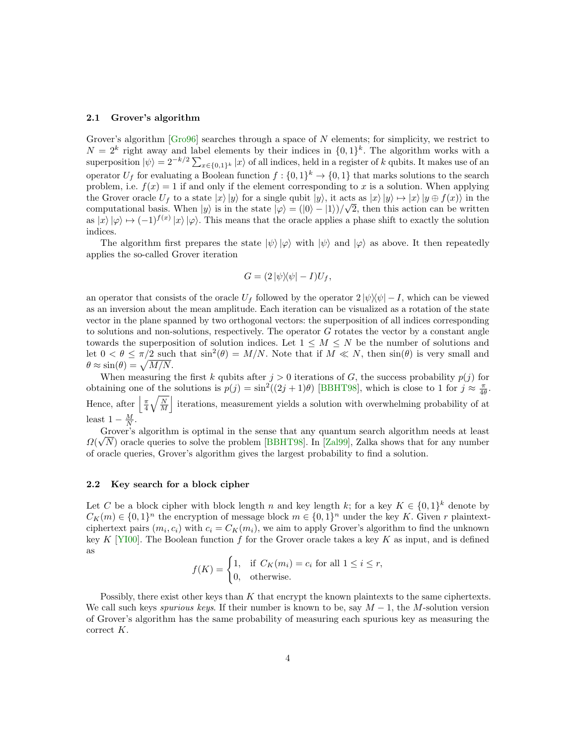#### <span id="page-3-0"></span>2.1 Grover's algorithm

Grover's algorithm [\[Gro96\]](#page-32-0) searches through a space of N elements; for simplicity, we restrict to  $N = 2<sup>k</sup>$  right away and label elements by their indices in  $\{0,1\}<sup>k</sup>$ . The algorithm works with a superposition  $|\psi\rangle = 2^{-k/2} \sum_{x \in \{0,1\}^k} |x\rangle$  of all indices, held in a register of k qubits. It makes use of an operator  $U_f$  for evaluating a Boolean function  $f: \{0,1\}^k \to \{0,1\}$  that marks solutions to the search problem, i.e.  $f(x) = 1$  if and only if the element corresponding to x is a solution. When applying the Grover oracle  $U_f$  to a state  $|x\rangle |y\rangle$  for a single qubit  $|y\rangle$ , it acts as  $|x\rangle |y\rangle \mapsto |x\rangle |y \oplus f(x)\rangle$  in the computational basis. When  $|y\rangle$  is in the state  $|\varphi\rangle = (0\rangle - |1\rangle)/\sqrt{2}$ , then this action can be written as  $|x\rangle|\varphi\rangle \mapsto (-1)^{f(x)}|x\rangle|\varphi\rangle$ . This means that the oracle applies a phase shift to exactly the solution indices.

The algorithm first prepares the state  $|\psi\rangle |\varphi\rangle$  with  $|\psi\rangle$  and  $|\varphi\rangle$  as above. It then repeatedly applies the so-called Grover iteration

$$
G = (2|\psi\rangle\langle\psi| - I)U_f,
$$

an operator that consists of the oracle  $U_f$  followed by the operator  $2 |\psi\rangle\langle\psi| - I$ , which can be viewed as an inversion about the mean amplitude. Each iteration can be visualized as a rotation of the state vector in the plane spanned by two orthogonal vectors: the superposition of all indices corresponding to solutions and non-solutions, respectively. The operator  $G$  rotates the vector by a constant angle towards the superposition of solution indices. Let  $1 \leq M \leq N$  be the number of solutions and let  $0 < \theta \le \pi/2$  such that  $\sin^2(\theta) = M/N$ . Note that if  $M \ll N$ , then  $\sin(\theta)$  is very small and  $\theta \approx \sin(\theta) = \sqrt{M/N}.$ 

When measuring the first k qubits after  $j > 0$  iterations of G, the success probability  $p(j)$  for obtaining one of the solutions is  $p(j) = \sin^2((2j+1)\theta)$  [\[BBHT98\]](#page-31-4), which is close to 1 for  $j \approx \frac{\pi}{4\theta}$ . Hence, after  $\left|\frac{\pi}{4}\sqrt{\frac{N}{M}}\right|$  iterations, measurement yields a solution with overwhelming probability of at least  $1 - \frac{M}{N}$ .

Grover's algorithm is optimal in the sense that any quantum search algorithm needs at least  $\Omega(\sqrt{N})$  oracle queries to solve the problem [\[BBHT98\]](#page-31-4). In [\[Zal99\]](#page-33-3), Zalka shows that for any number of oracle queries, Grover's algorithm gives the largest probability to find a solution.

## <span id="page-3-1"></span>2.2 Key search for a block cipher

Let C be a block cipher with block length n and key length k; for a key  $K \in \{0,1\}^k$  denote by  $C_K(m) \in \{0,1\}^n$  the encryption of message block  $m \in \{0,1\}^n$  under the key K. Given r plaintextciphertext pairs  $(m_i, c_i)$  with  $c_i = C_K(m_i)$ , we aim to apply Grover's algorithm to find the unknown key K [\[YI00\]](#page-33-5). The Boolean function f for the Grover oracle takes a key K as input, and is defined as

$$
f(K) = \begin{cases} 1, & \text{if } C_K(m_i) = c_i \text{ for all } 1 \le i \le r, \\ 0, & \text{otherwise.} \end{cases}
$$

Possibly, there exist other keys than K that encrypt the known plaintexts to the same ciphertexts. We call such keys *spurious keys*. If their number is known to be, say  $M-1$ , the M-solution version of Grover's algorithm has the same probability of measuring each spurious key as measuring the correct K.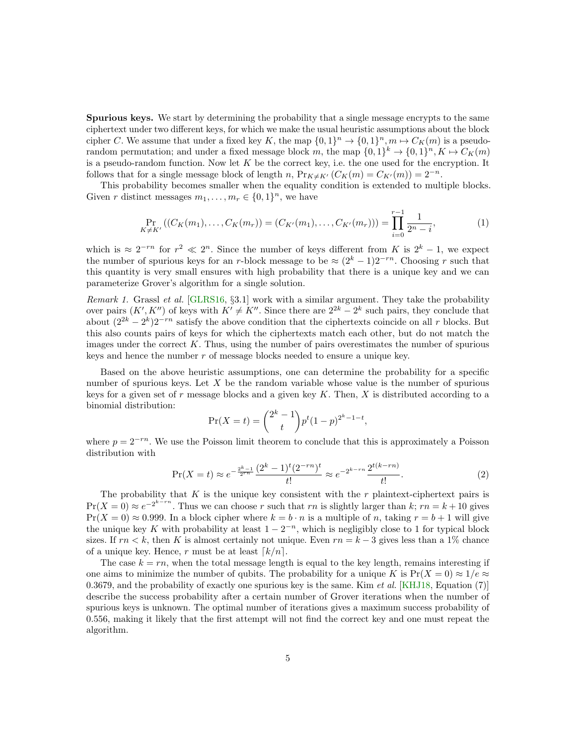Spurious keys. We start by determining the probability that a single message encrypts to the same ciphertext under two different keys, for which we make the usual heuristic assumptions about the block cipher C. We assume that under a fixed key K, the map  $\{0,1\}^n \to \{0,1\}^n, m \mapsto C_K(m)$  is a pseudorandom permutation; and under a fixed message block m, the map  $\{0,1\}^k \to \{0,1\}^n, K \mapsto C_K(m)$ is a pseudo-random function. Now let  $K$  be the correct key, i.e. the one used for the encryption. It follows that for a single message block of length n,  $Pr_{K \neq K'}(C_K(m) = C_{K'}(m)) = 2^{-n}$ .

This probability becomes smaller when the equality condition is extended to multiple blocks. Given r distinct messages  $m_1, \ldots, m_r \in \{0, 1\}^n$ , we have

<span id="page-4-1"></span>
$$
\Pr_{K \neq K'} \left( (C_K(m_1), \dots, C_K(m_r)) = (C_{K'}(m_1), \dots, C_{K'}(m_r)) \right) = \prod_{i=0}^{r-1} \frac{1}{2^n - i},\tag{1}
$$

which is  $\approx 2^{-rn}$  for  $r^2 \ll 2^n$ . Since the number of keys different from K is  $2^k - 1$ , we expect the number of spurious keys for an r-block message to be  $\approx (2^k-1)2^{-rn}$ . Choosing r such that this quantity is very small ensures with high probability that there is a unique key and we can parameterize Grover's algorithm for a single solution.

Remark 1. Grassl et al. [\[GLRS16,](#page-32-2) §3.1] work with a similar argument. They take the probability over pairs  $(K', K'')$  of keys with  $K' \neq K''$ . Since there are  $2^{2k} - 2^k$  such pairs, they conclude that about  $(2^{2k} - 2^k)2^{-rn}$  satisfy the above condition that the ciphertexts coincide on all r blocks. But this also counts pairs of keys for which the ciphertexts match each other, but do not match the images under the correct  $K$ . Thus, using the number of pairs overestimates the number of spurious keys and hence the number  $r$  of message blocks needed to ensure a unique key.

Based on the above heuristic assumptions, one can determine the probability for a specific number of spurious keys. Let  $X$  be the random variable whose value is the number of spurious keys for a given set of r message blocks and a given key K. Then, X is distributed according to a binomial distribution:

$$
Pr(X = t) = {2k - 1 \choose t} pt (1 - p)^{2k - 1 - t},
$$

where  $p = 2^{-rn}$ . We use the Poisson limit theorem to conclude that this is approximately a Poisson distribution with

<span id="page-4-0"></span>
$$
\Pr(X = t) \approx e^{-\frac{2^{k}-1}{2^{rn}}} \frac{(2^{k}-1)^{t}(2^{-rn})^{t}}{t!} \approx e^{-2^{k-rn}} \frac{2^{t(k-rn)}}{t!}.
$$
 (2)

The probability that  $K$  is the unique key consistent with the  $r$  plaintext-ciphertext pairs is  $Pr(X = 0) \approx e^{-2^{k-rn}}$ . Thus we can choose r such that rn is slightly larger than k;  $rn = k + 10$  gives  $Pr(X = 0) \approx 0.999$ . In a block cipher where  $k = b \cdot n$  is a multiple of n, taking  $r = b + 1$  will give the unique key K with probability at least  $1 - 2^{-n}$ , which is negligibly close to 1 for typical block sizes. If  $rn < k$ , then K is almost certainly not unique. Even  $rn = k - 3$  gives less than a 1% chance of a unique key. Hence, r must be at least  $\lceil k/n \rceil$ .

The case  $k = rn$ , when the total message length is equal to the key length, remains interesting if one aims to minimize the number of qubits. The probability for a unique K is  $Pr(X = 0) \approx 1/e \approx$ 0.3679, and the probability of exactly one spurious key is the same. Kim *et al.* [\[KHJ18,](#page-32-3) Equation  $(7)$ ] describe the success probability after a certain number of Grover iterations when the number of spurious keys is unknown. The optimal number of iterations gives a maximum success probability of 0.556, making it likely that the first attempt will not find the correct key and one must repeat the algorithm.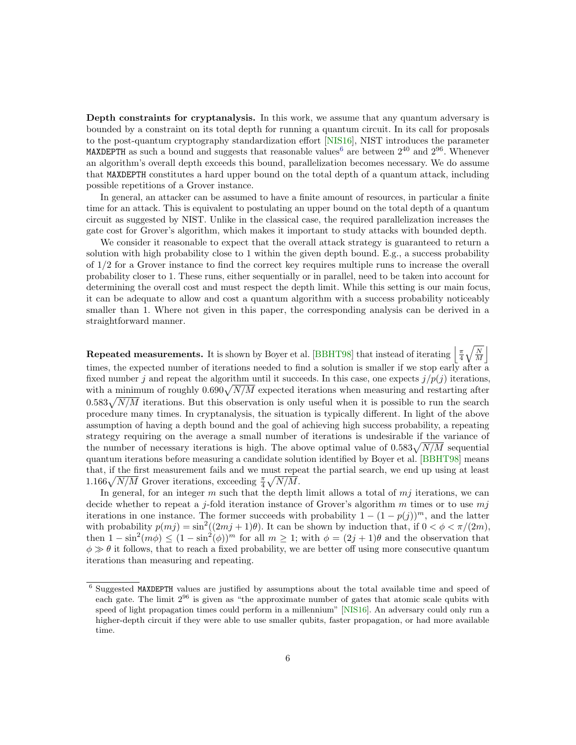Depth constraints for cryptanalysis. In this work, we assume that any quantum adversary is bounded by a constraint on its total depth for running a quantum circuit. In its call for proposals to the post-quantum cryptography standardization effort [\[NIS16\]](#page-32-1), NIST introduces the parameter MAXDEPTH as such a bound and suggests that reasonable values<sup>[6](#page-5-0)</sup> are between  $2^{40}$  and  $2^{96}$ . Whenever an algorithm's overall depth exceeds this bound, parallelization becomes necessary. We do assume that MAXDEPTH constitutes a hard upper bound on the total depth of a quantum attack, including possible repetitions of a Grover instance.

In general, an attacker can be assumed to have a finite amount of resources, in particular a finite time for an attack. This is equivalent to postulating an upper bound on the total depth of a quantum circuit as suggested by NIST. Unlike in the classical case, the required parallelization increases the gate cost for Grover's algorithm, which makes it important to study attacks with bounded depth.

We consider it reasonable to expect that the overall attack strategy is guaranteed to return a solution with high probability close to 1 within the given depth bound. E.g., a success probability of 1/2 for a Grover instance to find the correct key requires multiple runs to increase the overall probability closer to 1. These runs, either sequentially or in parallel, need to be taken into account for determining the overall cost and must respect the depth limit. While this setting is our main focus, it can be adequate to allow and cost a quantum algorithm with a success probability noticeably smaller than 1. Where not given in this paper, the corresponding analysis can be derived in a straightforward manner.

**Repeated measurements.** It is shown by Boyer et al. [\[BBHT98\]](#page-31-4) that instead of iterating  $\left|\frac{\pi}{4}\sqrt{\frac{N}{M}}\right|$ times, the expected number of iterations needed to find a solution is smaller if we stop early after a fixed number j and repeat the algorithm until it succeeds. In this case, one expects  $i/p(i)$  iterations, with a minimum of roughly  $0.690\sqrt{N/M}$  expected iterations when measuring and restarting after  $0.583\sqrt{N/M}$  iterations. But this observation is only useful when it is possible to run the search procedure many times. In cryptanalysis, the situation is typically different. In light of the above assumption of having a depth bound and the goal of achieving high success probability, a repeating strategy requiring on the average a small number of iterations is undesirable if the variance of the number of necessary iterations is high. The above optimal value of  $0.583\sqrt{N/M}$  sequential quantum iterations before measuring a candidate solution identified by Boyer et al. [\[BBHT98\]](#page-31-4) means that, if the first measurement fails and we must repeat the partial search, we end up using at least  $1.166\sqrt{N/M}$  Grover iterations, exceeding  $\frac{\pi}{4}\sqrt{N/M}$ .

In general, for an integer m such that the depth limit allows a total of  $m<sub>j</sub>$  iterations, we can decide whether to repeat a j-fold iteration instance of Grover's algorithm m times or to use  $m_j$ iterations in one instance. The former succeeds with probability  $1 - (1 - p(j))^m$ , and the latter with probability  $p(mj) = \sin^2((2mj+1)\theta)$ . It can be shown by induction that, if  $0 < \phi < \pi/(2m)$ , then  $1 - \sin^2(m\phi) \le (1 - \sin^2(\phi))^m$  for all  $m \ge 1$ ; with  $\phi = (2j + 1)\theta$  and the observation that  $\phi \gg \theta$  it follows, that to reach a fixed probability, we are better off using more consecutive quantum iterations than measuring and repeating.

<span id="page-5-0"></span><sup>6</sup> Suggested MAXDEPTH values are justified by assumptions about the total available time and speed of each gate. The limit  $2^{96}$  is given as "the approximate number of gates that atomic scale qubits with speed of light propagation times could perform in a millennium" [\[NIS16\]](#page-32-1). An adversary could only run a higher-depth circuit if they were able to use smaller qubits, faster propagation, or had more available time.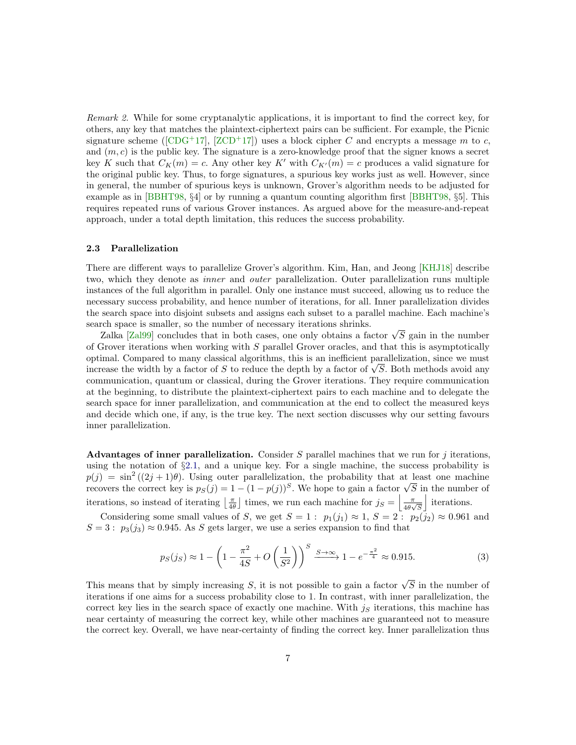Remark 2. While for some cryptanalytic applications, it is important to find the correct key, for others, any key that matches the plaintext-ciphertext pairs can be sufficient. For example, the Picnic signature scheme ( $\text{[CDG+17]}, \text{[ZCD+17]}$  $\text{[CDG+17]}, \text{[ZCD+17]}$  $\text{[CDG+17]}, \text{[ZCD+17]}$  $\text{[CDG+17]}, \text{[ZCD+17]}$  $\text{[CDG+17]}, \text{[ZCD+17]}$ ) uses a block cipher C and encrypts a message m to c, and  $(m, c)$  is the public key. The signature is a zero-knowledge proof that the signer knows a secret key K such that  $C_K(m) = c$ . Any other key K' with  $C_{K'}(m) = c$  produces a valid signature for the original public key. Thus, to forge signatures, a spurious key works just as well. However, since in general, the number of spurious keys is unknown, Grover's algorithm needs to be adjusted for example as in [\[BBHT98,](#page-31-4) §4] or by running a quantum counting algorithm first [\[BBHT98,](#page-31-4) §5]. This requires repeated runs of various Grover instances. As argued above for the measure-and-repeat approach, under a total depth limitation, this reduces the success probability.

#### <span id="page-6-0"></span>2.3 Parallelization

There are different ways to parallelize Grover's algorithm. Kim, Han, and Jeong [\[KHJ18\]](#page-32-3) describe two, which they denote as inner and outer parallelization. Outer parallelization runs multiple instances of the full algorithm in parallel. Only one instance must succeed, allowing us to reduce the necessary success probability, and hence number of iterations, for all. Inner parallelization divides the search space into disjoint subsets and assigns each subset to a parallel machine. Each machine's search space is smaller, so the number of necessary iterations shrinks.

comet conspace is smaller, so the number of necessary iterations shrinks.<br>Zalka [\[Zal99\]](#page-33-3) concludes that in both cases, one only obtains a factor  $\sqrt{S}$  gain in the number of Grover iterations when working with  $S$  parallel Grover oracles, and that this is asymptotically optimal. Compared to many classical algorithms, this is an inefficient parallelization, since we must optimal. Compared to many classical algorithms, this is an inemicient parallelization, since we must<br>increase the width by a factor of S to reduce the depth by a factor of  $\sqrt{S}$ . Both methods avoid any communication, quantum or classical, during the Grover iterations. They require communication at the beginning, to distribute the plaintext-ciphertext pairs to each machine and to delegate the search space for inner parallelization, and communication at the end to collect the measured keys and decide which one, if any, is the true key. The next section discusses why our setting favours inner parallelization.

Advantages of inner parallelization. Consider  $S$  parallel machines that we run for  $j$  iterations, using the notation of §[2.1,](#page-3-0) and a unique key. For a single machine, the success probability is  $p(j) = \sin^2((2j+1)\theta)$ . Using outer parallelization, the probability that at least one machine recovers the correct key is  $p_S(j) = 1 - (1 - p(j))^S$ . We hope to gain a factor  $\sqrt{S}$  in the number of iterations, so instead of iterating  $\left\lfloor \frac{\pi}{4\theta} \right\rfloor$  times, we run each machine for  $j_S = \left\lfloor \frac{\pi}{4\theta_N} \right\rfloor$  $\frac{\pi}{4\theta\sqrt{S}}$  iterations.

Considering some small values of S, we get  $S = 1$ :  $p_1(j_1) \approx 1$ ,  $S = 2$ :  $p_2(j_2) \approx 0.961$  and  $S = 3: p_3(j_3) \approx 0.945$ . As S gets larger, we use a series expansion to find that

$$
p_S(j_S) \approx 1 - \left(1 - \frac{\pi^2}{4S} + O\left(\frac{1}{S^2}\right)\right)^S \xrightarrow{S \to \infty} 1 - e^{-\frac{\pi^2}{4}} \approx 0.915. \tag{3}
$$

This means that by simply increasing S, it is not possible to gain a factor  $\sqrt{S}$  in the number of iterations if one aims for a success probability close to 1. In contrast, with inner parallelization, the correct key lies in the search space of exactly one machine. With  $j<sub>S</sub>$  iterations, this machine has near certainty of measuring the correct key, while other machines are guaranteed not to measure the correct key. Overall, we have near-certainty of finding the correct key. Inner parallelization thus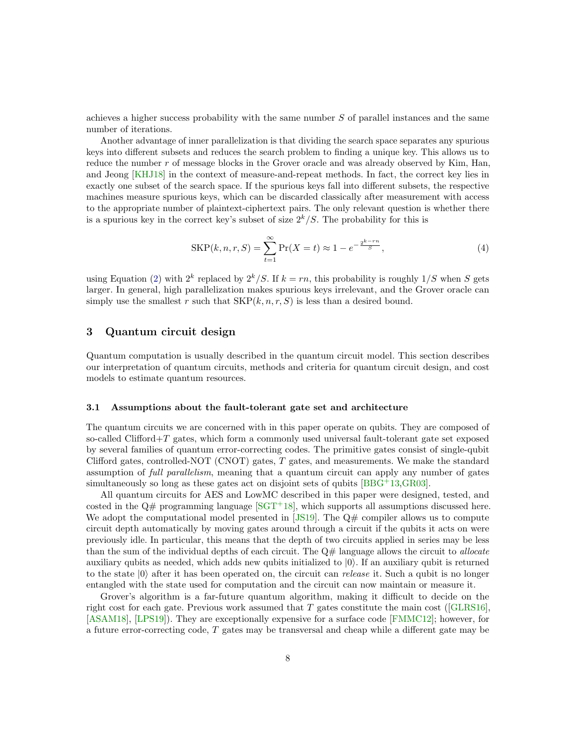achieves a higher success probability with the same number S of parallel instances and the same number of iterations.

Another advantage of inner parallelization is that dividing the search space separates any spurious keys into different subsets and reduces the search problem to finding a unique key. This allows us to reduce the number r of message blocks in the Grover oracle and was already observed by Kim, Han, and Jeong [\[KHJ18\]](#page-32-3) in the context of measure-and-repeat methods. In fact, the correct key lies in exactly one subset of the search space. If the spurious keys fall into different subsets, the respective machines measure spurious keys, which can be discarded classically after measurement with access to the appropriate number of plaintext-ciphertext pairs. The only relevant question is whether there is a spurious key in the correct key's subset of size  $2^k/S$ . The probability for this is

$$
SKP(k, n, r, S) = \sum_{t=1}^{\infty} Pr(X = t) \approx 1 - e^{-\frac{2^{k-rn}}{S}},
$$
\n(4)

using Equation [\(2\)](#page-4-0) with  $2^k$  replaced by  $2^k/S$ . If  $k = rn$ , this probability is roughly  $1/S$  when S gets larger. In general, high parallelization makes spurious keys irrelevant, and the Grover oracle can simply use the smallest r such that  $SKP(k, n, r, S)$  is less than a desired bound.

## 3 Quantum circuit design

Quantum computation is usually described in the quantum circuit model. This section describes our interpretation of quantum circuits, methods and criteria for quantum circuit design, and cost models to estimate quantum resources.

#### 3.1 Assumptions about the fault-tolerant gate set and architecture

The quantum circuits we are concerned with in this paper operate on qubits. They are composed of so-called Clifford $+T$  gates, which form a commonly used universal fault-tolerant gate set exposed by several families of quantum error-correcting codes. The primitive gates consist of single-qubit Clifford gates, controlled-NOT (CNOT) gates, T gates, and measurements. We make the standard assumption of full parallelism, meaning that a quantum circuit can apply any number of gates simultaneously so long as these gates act on disjoint sets of qubits [\[BBG](#page-31-6)+13[,GR03\]](#page-32-5).

All quantum circuits for AES and LowMC described in this paper were designed, tested, and costed in the  $Q#$  programming language [\[SGT](#page-33-2)<sup>+18]</sup>, which supports all assumptions discussed here. We adopt the computational model presented in  $[JS19]$ . The  $Q#$  compiler allows us to compute circuit depth automatically by moving gates around through a circuit if the qubits it acts on were previously idle. In particular, this means that the depth of two circuits applied in series may be less than the sum of the individual depths of each circuit. The  $Q#$  language allows the circuit to *allocate* auxiliary qubits as needed, which adds new qubits initialized to  $|0\rangle$ . If an auxiliary qubit is returned to the state  $|0\rangle$  after it has been operated on, the circuit can *release* it. Such a qubit is no longer entangled with the state used for computation and the circuit can now maintain or measure it.

Grover's algorithm is a far-future quantum algorithm, making it difficult to decide on the right cost for each gate. Previous work assumed that T gates constitute the main cost ( $\lbrack\text{GLRS16}\rbrack$ , [\[ASAM18\]](#page-31-0), [\[LPS19\]](#page-32-4)). They are exceptionally expensive for a surface code [\[FMMC12\]](#page-31-7); however, for a future error-correcting code, T gates may be transversal and cheap while a different gate may be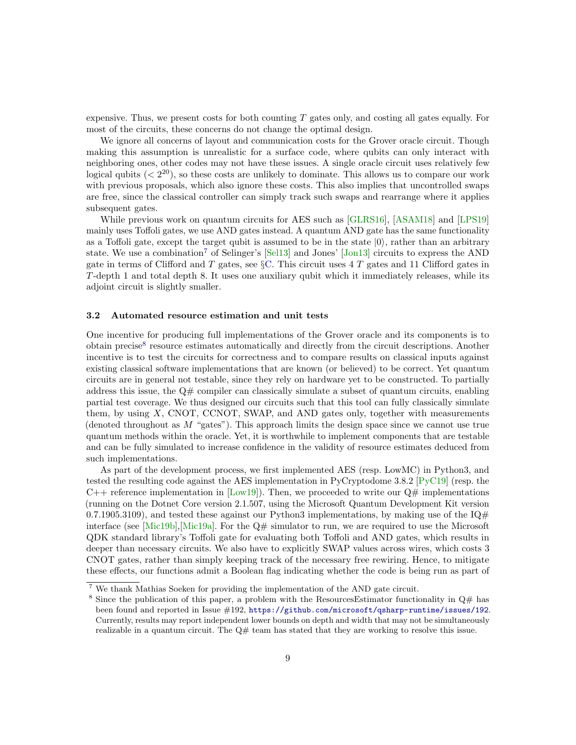expensive. Thus, we present costs for both counting  $T$  gates only, and costing all gates equally. For most of the circuits, these concerns do not change the optimal design.

We ignore all concerns of layout and communication costs for the Grover oracle circuit. Though making this assumption is unrealistic for a surface code, where qubits can only interact with neighboring ones, other codes may not have these issues. A single oracle circuit uses relatively few logical qubits  $( $2^{20}$ ), so these costs are unlikely to dominate. This allows us to compare our work$ with previous proposals, which also ignore these costs. This also implies that uncontrolled swaps are free, since the classical controller can simply track such swaps and rearrange where it applies subsequent gates.

While previous work on quantum circuits for AES such as [\[GLRS16\]](#page-32-2), [\[ASAM18\]](#page-31-0) and [\[LPS19\]](#page-32-4) mainly uses Toffoli gates, we use AND gates instead. A quantum AND gate has the same functionality as a Toffoli gate, except the target qubit is assumed to be in the state  $|0\rangle$ , rather than an arbitrary state. We use a combination<sup>[7](#page-8-0)</sup> of Selinger's [\[Sel13\]](#page-32-7) and Jones' [\[Jon13\]](#page-32-8) circuits to express the AND gate in terms of Clifford and T gates, see  $\S$ [C.](#page-35-0) This circuit uses 4 T gates and 11 Clifford gates in T-depth 1 and total depth 8. It uses one auxiliary qubit which it immediately releases, while its adjoint circuit is slightly smaller.

#### 3.2 Automated resource estimation and unit tests

One incentive for producing full implementations of the Grover oracle and its components is to obtain precise<sup>[8](#page-8-1)</sup> resource estimates automatically and directly from the circuit descriptions. Another incentive is to test the circuits for correctness and to compare results on classical inputs against existing classical software implementations that are known (or believed) to be correct. Yet quantum circuits are in general not testable, since they rely on hardware yet to be constructed. To partially address this issue, the  $Q#$  compiler can classically simulate a subset of quantum circuits, enabling partial test coverage. We thus designed our circuits such that this tool can fully classically simulate them, by using  $X$ , CNOT, CCNOT, SWAP, and AND gates only, together with measurements (denoted throughout as  $M$  "gates"). This approach limits the design space since we cannot use true quantum methods within the oracle. Yet, it is worthwhile to implement components that are testable and can be fully simulated to increase confidence in the validity of resource estimates deduced from such implementations.

As part of the development process, we first implemented AES (resp. LowMC) in Python3, and tested the resulting code against the AES implementation in PyCryptodome 3.8.2 [\[PyC19\]](#page-32-9) (resp. the  $C++$  reference implementation in [\[Low19\]](#page-32-10)). Then, we proceeded to write our  $Q\#$  implementations (running on the Dotnet Core version 2.1.507, using the Microsoft Quantum Development Kit version 0.7.1905.3109), and tested these against our Python3 implementations, by making use of the  $\text{IQ#}$ interface (see [\[Mic19b\]](#page-32-11), [\[Mic19a\]](#page-32-12). For the  $Q#$  simulator to run, we are required to use the Microsoft QDK standard library's Toffoli gate for evaluating both Toffoli and AND gates, which results in deeper than necessary circuits. We also have to explicitly SWAP values across wires, which costs 3 CNOT gates, rather than simply keeping track of the necessary free rewiring. Hence, to mitigate these effects, our functions admit a Boolean flag indicating whether the code is being run as part of

<span id="page-8-0"></span><sup>7</sup> We thank Mathias Soeken for providing the implementation of the AND gate circuit.

<span id="page-8-1"></span><sup>&</sup>lt;sup>8</sup> Since the publication of this paper, a problem with the Resources Estimator functionality in  $Q#$  has been found and reported in Issue #192, <https://github.com/microsoft/qsharp-runtime/issues/192>. Currently, results may report independent lower bounds on depth and width that may not be simultaneously realizable in a quantum circuit. The  $Q#$  team has stated that they are working to resolve this issue.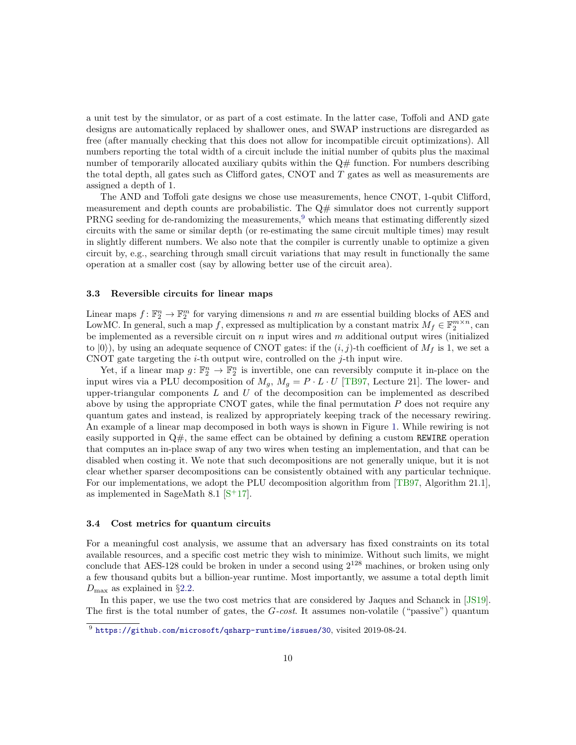a unit test by the simulator, or as part of a cost estimate. In the latter case, Toffoli and AND gate designs are automatically replaced by shallower ones, and SWAP instructions are disregarded as free (after manually checking that this does not allow for incompatible circuit optimizations). All numbers reporting the total width of a circuit include the initial number of qubits plus the maximal number of temporarily allocated auxiliary qubits within the  $Q#$  function. For numbers describing the total depth, all gates such as Clifford gates, CNOT and  $T$  gates as well as measurements are assigned a depth of 1.

The AND and Toffoli gate designs we chose use measurements, hence CNOT, 1-qubit Clifford, measurement and depth counts are probabilistic. The Q# simulator does not currently support PRNG seeding for de-randomizing the measurements,<sup>[9](#page-9-0)</sup> which means that estimating differently sized circuits with the same or similar depth (or re-estimating the same circuit multiple times) may result in slightly different numbers. We also note that the compiler is currently unable to optimize a given circuit by, e.g., searching through small circuit variations that may result in functionally the same operation at a smaller cost (say by allowing better use of the circuit area).

#### <span id="page-9-1"></span>3.3 Reversible circuits for linear maps

Linear maps  $f: \mathbb{F}_2^n \to \mathbb{F}_2^m$  for varying dimensions n and m are essential building blocks of AES and LowMC. In general, such a map f, expressed as multiplication by a constant matrix  $M_f \in \mathbb{F}_2^{m \times n}$ , can be implemented as a reversible circuit on  $n$  input wires and  $m$  additional output wires (initialized to  $|0\rangle$ , by using an adequate sequence of CNOT gates: if the  $(i, j)$ -th coefficient of  $M_f$  is 1, we set a CNOT gate targeting the  $i$ -th output wire, controlled on the  $j$ -th input wire.

Yet, if a linear map  $g: \mathbb{F}_2^n \to \mathbb{F}_2^n$  is invertible, one can reversibly compute it in-place on the input wires via a PLU decomposition of  $M_g$ ,  $M_g = P \cdot L \cdot U$  [\[TB97,](#page-33-6) Lecture 21]. The lower- and upper-triangular components  $L$  and  $U$  of the decomposition can be implemented as described above by using the appropriate CNOT gates, while the final permutation  $P$  does not require any quantum gates and instead, is realized by appropriately keeping track of the necessary rewiring. An example of a linear map decomposed in both ways is shown in Figure [1.](#page-10-0) While rewiring is not easily supported in  $Q\#$ , the same effect can be obtained by defining a custom REWIRE operation that computes an in-place swap of any two wires when testing an implementation, and that can be disabled when costing it. We note that such decompositions are not generally unique, but it is not clear whether sparser decompositions can be consistently obtained with any particular technique. For our implementations, we adopt the PLU decomposition algorithm from [\[TB97,](#page-33-6) Algorithm 21.1], as implemented in SageMath 8.1  $[S+17]$  $[S+17]$ .

#### <span id="page-9-2"></span>3.4 Cost metrics for quantum circuits

For a meaningful cost analysis, we assume that an adversary has fixed constraints on its total available resources, and a specific cost metric they wish to minimize. Without such limits, we might conclude that AES-128 could be broken in under a second using  $2^{128}$  machines, or broken using only a few thousand qubits but a billion-year runtime. Most importantly, we assume a total depth limit  $D_{\text{max}}$  as explained in §[2.2.](#page-3-1)

In this paper, we use the two cost metrics that are considered by Jaques and Schanck in [\[JS19\]](#page-32-6). The first is the total number of gates, the  $G\text{-}cost$ . It assumes non-volatile ("passive") quantum

<span id="page-9-0"></span> $^9$  <https://github.com/microsoft/qsharp-runtime/issues/30>, visited 2019-08-24.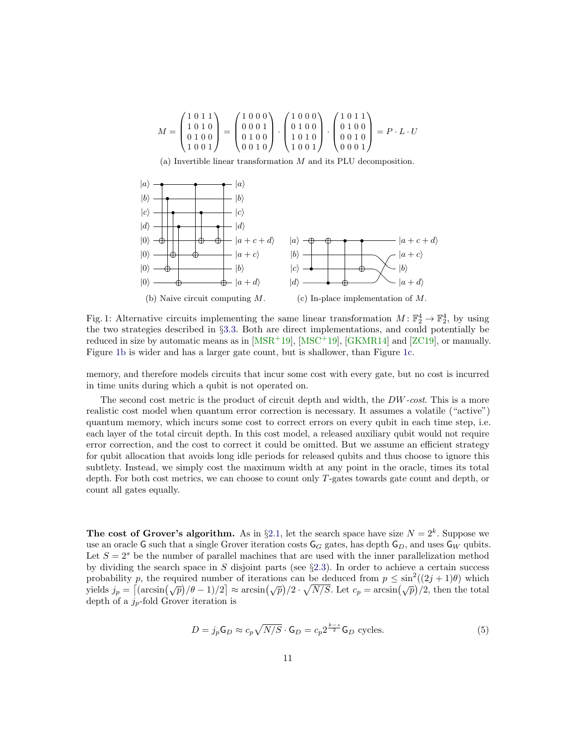<span id="page-10-0"></span>
$$
M = \begin{pmatrix} 1 & 0 & 1 & 1 \\ 1 & 0 & 1 & 0 \\ 0 & 1 & 0 & 0 \\ 1 & 0 & 0 & 1 \end{pmatrix} = \begin{pmatrix} 1 & 0 & 0 & 0 \\ 0 & 0 & 0 & 1 \\ 0 & 1 & 0 & 0 \\ 0 & 0 & 1 & 0 \end{pmatrix} \cdot \begin{pmatrix} 1 & 0 & 0 & 0 \\ 0 & 1 & 0 & 0 \\ 1 & 0 & 1 & 0 \\ 1 & 0 & 0 & 1 \end{pmatrix} \cdot \begin{pmatrix} 1 & 0 & 1 & 1 \\ 0 & 1 & 0 & 0 \\ 0 & 0 & 1 & 0 \\ 0 & 0 & 0 & 1 \end{pmatrix} = P \cdot L \cdot U
$$

<span id="page-10-2"></span>(a) Invertible linear transformation M and its PLU decomposition.

<span id="page-10-1"></span>

Fig. 1: Alternative circuits implementing the same linear transformation  $M: \mathbb{F}_2^4 \to \mathbb{F}_2^4$ , by using the two strategies described in §[3.3.](#page-9-1) Both are direct implementations, and could potentially be reduced in size by automatic means as in  $[MSR<sup>+</sup>19]$  $[MSR<sup>+</sup>19]$ ,  $[MSC<sup>+</sup>19]$  $[MSC<sup>+</sup>19]$ ,  $[GKMR14]$  and  $[ZC19]$ , or manually. Figure [1b](#page-10-1) is wider and has a larger gate count, but is shallower, than Figure [1c.](#page-10-2)

memory, and therefore models circuits that incur some cost with every gate, but no cost is incurred in time units during which a qubit is not operated on.

The second cost metric is the product of circuit depth and width, the  $DW$ -cost. This is a more realistic cost model when quantum error correction is necessary. It assumes a volatile ("active") quantum memory, which incurs some cost to correct errors on every qubit in each time step, i.e. each layer of the total circuit depth. In this cost model, a released auxiliary qubit would not require error correction, and the cost to correct it could be omitted. But we assume an efficient strategy for qubit allocation that avoids long idle periods for released qubits and thus choose to ignore this subtlety. Instead, we simply cost the maximum width at any point in the oracle, times its total depth. For both cost metrics, we can choose to count only T-gates towards gate count and depth, or count all gates equally.

The cost of Grover's algorithm. As in §[2.1,](#page-3-0) let the search space have size  $N = 2<sup>k</sup>$ . Suppose we use an oracle G such that a single Grover iteration costs  $G_G$  gates, has depth  $G_D$ , and uses  $G_W$  qubits. Let  $S = 2<sup>s</sup>$  be the number of parallel machines that are used with the inner parallelization method by dividing the search space in S disjoint parts (see  $\S$ [2.3\)](#page-6-0). In order to achieve a certain success probability p, the required number of iterations can be deduced from  $p \leq \sin^2((2j+1)\theta)$  which probability p, the required number of iterations can be deduced from  $p \le \sin((2f+1)\theta)$  which<br>yields  $j_p = [(\arcsin(\sqrt{p})/\theta - 1)/2] \approx \arcsin(\sqrt{p})/2 \cdot \sqrt{N/S}$ . Let  $c_p = \arcsin(\sqrt{p})/2$ , then the total depth of a  $j_p$ -fold Grover iteration is

$$
D = j_p \mathsf{G}_D \approx c_p \sqrt{N/S} \cdot \mathsf{G}_D = c_p 2^{\frac{k-s}{2}} \mathsf{G}_D \text{ cycles.}
$$
\n
$$
\tag{5}
$$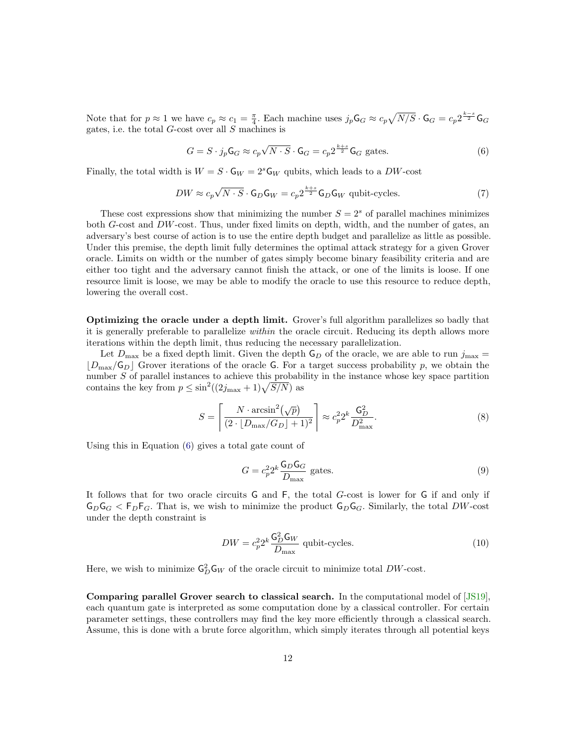Note that for  $p \approx 1$  we have  $c_p \approx c_1 = \frac{\pi}{4}$ . Each machine uses  $j_p \mathsf{G}_G \approx c_p \sqrt{N/S} \cdot \mathsf{G}_G = c_p 2^{\frac{k-s}{2}} \mathsf{G}_G$ gates, i.e. the total  $G$ -cost over all  $S$  machines is

<span id="page-11-0"></span>
$$
G = S \cdot j_p \mathsf{G}_G \approx c_p \sqrt{N \cdot S} \cdot \mathsf{G}_G = c_p 2^{\frac{k+s}{2}} \mathsf{G}_G \text{ gates.}
$$
 (6)

Finally, the total width is  $W = S \cdot G_W = 2^s G_W$  qubits, which leads to a DW-cost

$$
DW \approx c_p \sqrt{N \cdot S} \cdot \mathsf{G}_D \mathsf{G}_W = c_p 2^{\frac{k+s}{2}} \mathsf{G}_D \mathsf{G}_W \text{ qubit-cycles.}
$$
\n<sup>(7)</sup>

These cost expressions show that minimizing the number  $S = 2<sup>s</sup>$  of parallel machines minimizes both G-cost and DW-cost. Thus, under fixed limits on depth, width, and the number of gates, an adversary's best course of action is to use the entire depth budget and parallelize as little as possible. Under this premise, the depth limit fully determines the optimal attack strategy for a given Grover oracle. Limits on width or the number of gates simply become binary feasibility criteria and are either too tight and the adversary cannot finish the attack, or one of the limits is loose. If one resource limit is loose, we may be able to modify the oracle to use this resource to reduce depth, lowering the overall cost.

Optimizing the oracle under a depth limit. Grover's full algorithm parallelizes so badly that it is generally preferable to parallelize within the oracle circuit. Reducing its depth allows more iterations within the depth limit, thus reducing the necessary parallelization.

Let  $D_{\text{max}}$  be a fixed depth limit. Given the depth  $G_D$  of the oracle, we are able to run  $j_{\text{max}} =$  $[D_{\text{max}}/G_D]$  Grover iterations of the oracle G. For a target success probability p, we obtain the number S of parallel instances to achieve this probability in the instance whose key space partition contains the key from  $p \le \sin^2((2j_{\max}+1)\sqrt{S/N})$  as

$$
S = \left[ \frac{N \cdot \arcsin^2(\sqrt{p})}{(2 \cdot \lfloor D_{\text{max}}/G_D \rfloor + 1)^2} \right] \approx c_p^2 2^k \frac{\mathsf{G}_D^2}{D_{\text{max}}^2}.
$$
 (8)

Using this in Equation [\(6\)](#page-11-0) gives a total gate count of

<span id="page-11-3"></span><span id="page-11-2"></span>
$$
G = c_p^2 2^k \frac{\mathsf{G}_D \mathsf{G}_G}{D_{\text{max}}} \text{ gates.}
$$
 (9)

It follows that for two oracle circuits G and F, the total G-cost is lower for G if and only if  $\mathsf{G}_D\mathsf{G}_G < \mathsf{F}_D\mathsf{F}_G$ . That is, we wish to minimize the product  $\mathsf{G}_D\mathsf{G}_G$ . Similarly, the total DW-cost under the depth constraint is

<span id="page-11-1"></span>
$$
DW = c_p^2 2^k \frac{G_D^2 G_W}{D_{\text{max}}} \text{ qubit-cycles.}
$$
 (10)

Here, we wish to minimize  $\mathsf{G}_{D}^{2}\mathsf{G}_{W}$  of the oracle circuit to minimize total  $DW$ -cost.

Comparing parallel Grover search to classical search. In the computational model of [\[JS19\]](#page-32-6), each quantum gate is interpreted as some computation done by a classical controller. For certain parameter settings, these controllers may find the key more efficiently through a classical search. Assume, this is done with a brute force algorithm, which simply iterates through all potential keys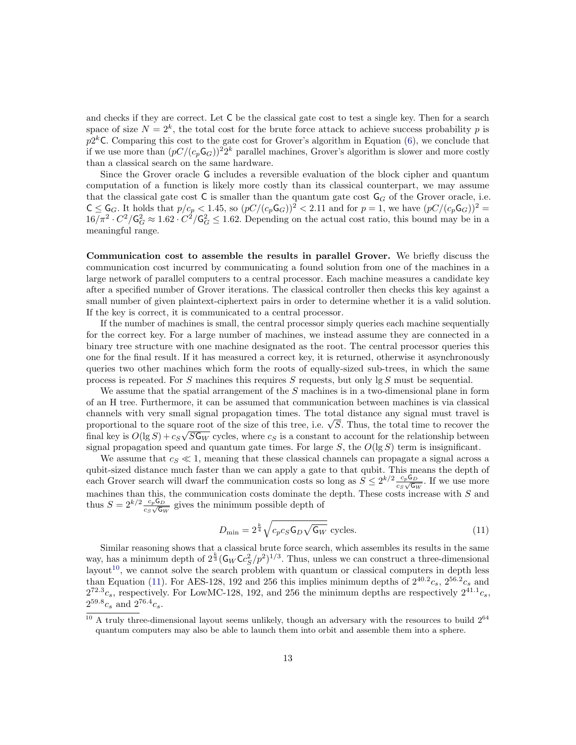and checks if they are correct. Let C be the classical gate cost to test a single key. Then for a search space of size  $N = 2<sup>k</sup>$ , the total cost for the brute force attack to achieve success probability p is  $p2^k$ C. Comparing this cost to the gate cost for Grover's algorithm in Equation [\(6\)](#page-11-0), we conclude that if we use more than  $(pC/(c_p \mathsf{G}_G))^2 2^k$  parallel machines, Grover's algorithm is slower and more costly than a classical search on the same hardware.

Since the Grover oracle G includes a reversible evaluation of the block cipher and quantum computation of a function is likely more costly than its classical counterpart, we may assume that the classical gate cost  $C$  is smaller than the quantum gate cost  $G_G$  of the Grover oracle, i.e.  $C \leq G_G$ . It holds that  $p/c_p < 1.45$ , so  $(pC/(c_p G_G))^2 < 2.11$  and for  $p = 1$ , we have  $(pC/(c_p G_G))^2 =$  $16/\pi^2 \cdot C^2/\mathsf{G}_G^2 \approx 1.62 \cdot C^2/\mathsf{G}_G^2 \leq 1.62$ . Depending on the actual cost ratio, this bound may be in a meaningful range.

Communication cost to assemble the results in parallel Grover. We briefly discuss the communication cost incurred by communicating a found solution from one of the machines in a large network of parallel computers to a central processor. Each machine measures a candidate key after a specified number of Grover iterations. The classical controller then checks this key against a small number of given plaintext-ciphertext pairs in order to determine whether it is a valid solution. If the key is correct, it is communicated to a central processor.

If the number of machines is small, the central processor simply queries each machine sequentially for the correct key. For a large number of machines, we instead assume they are connected in a binary tree structure with one machine designated as the root. The central processor queries this one for the final result. If it has measured a correct key, it is returned, otherwise it asynchronously queries two other machines which form the roots of equally-sized sub-trees, in which the same process is repeated. For S machines this requires S requests, but only  $\lg S$  must be sequential.

We assume that the spatial arrangement of the S machines is in a two-dimensional plane in form of an H tree. Furthermore, it can be assumed that communication between machines is via classical channels with very small signal propagation times. The total distance any signal must travel is channels with very small signal propagation times. The total distance any signal must travel is<br>proportional to the square root of the size of this tree, i.e.  $\sqrt{S}$ . Thus, the total time to recover the final key is  $O(\lg S) + c_S \sqrt{S} \mathsf{G}_W$  cycles, where  $c_S$  is a constant to account for the relationship between signal propagation speed and quantum gate times. For large  $S$ , the  $O(\lg S)$  term is insignificant.

We assume that  $c_s \ll 1$ , meaning that these classical channels can propagate a signal across a qubit-sized distance much faster than we can apply a gate to that qubit. This means the depth of each Grover search will dwarf the communication costs so long as  $S \n\leq 2^{k/2} \frac{c_p G_D}{\sigma \sqrt{C}}$  $\frac{c_p G_D}{c_S \sqrt{G_W}}$ . If we use more machines than this, the communication costs dominate the depth. These costs increase with S and thus  $S = 2^{k/2} \frac{c_p \mathsf{G}_D}{c_S \sqrt{\mathsf{G}_W}}$  gives the minimum possible depth of

<span id="page-12-1"></span>
$$
D_{\min} = 2^{\frac{k}{4}} \sqrt{c_p c_S \mathsf{G}_D \sqrt{\mathsf{G}_W}} \text{ cycles.}
$$
\n(11)

Similar reasoning shows that a classical brute force search, which assembles its results in the same way, has a minimum depth of  $2^{\frac{k}{3}} (\mathsf{G}_W \mathsf{C} c_S^2 / p^2)^{1/3}$ . Thus, unless we can construct a three-dimensional  $\text{layout}^{10}$  $\text{layout}^{10}$  $\text{layout}^{10}$ , we cannot solve the search problem with quantum or classical computers in depth less than Equation [\(11\)](#page-12-1). For AES-128, 192 and 256 this implies minimum depths of  $2^{40.2}c_s$ ,  $2^{56.2}c_s$  and  $2^{72.3}c_s$ , respectively. For LowMC-128, 192, and 256 the minimum depths are respectively  $2^{41.1}c_s$ ,  $2^{59.8}c_s$  and  $2^{76.4}c_s$ .

<span id="page-12-0"></span> $10$  A truly three-dimensional layout seems unlikely, though an adversary with the resources to build  $2^{64}$ quantum computers may also be able to launch them into orbit and assemble them into a sphere.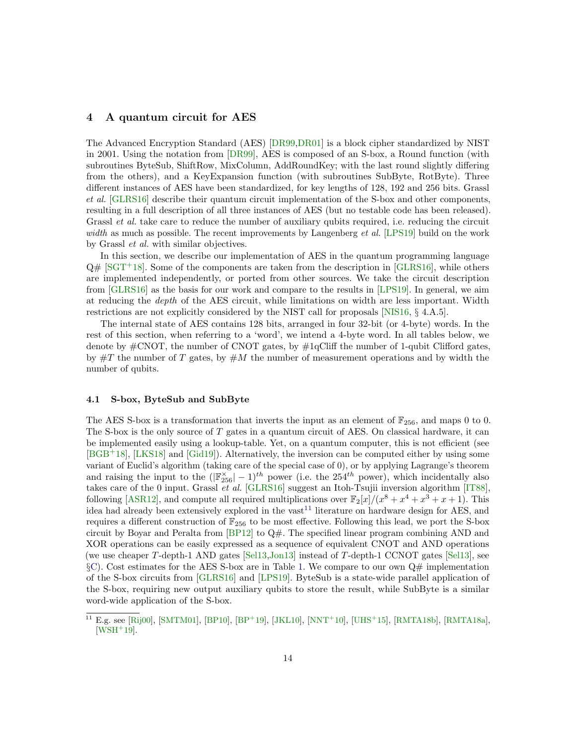## 4 A quantum circuit for AES

The Advanced Encryption Standard (AES) [\[DR99,](#page-31-9)[DR01\]](#page-31-10) is a block cipher standardized by NIST in 2001. Using the notation from [\[DR99\]](#page-31-9), AES is composed of an S-box, a Round function (with subroutines ByteSub, ShiftRow, MixColumn, AddRoundKey; with the last round slightly differing from the others), and a KeyExpansion function (with subroutines SubByte, RotByte). Three different instances of AES have been standardized, for key lengths of 128, 192 and 256 bits. Grassl et al. [\[GLRS16\]](#page-32-2) describe their quantum circuit implementation of the S-box and other components, resulting in a full description of all three instances of AES (but no testable code has been released). Grassl *et al.* take care to reduce the number of auxiliary qubits required, i.e. reducing the circuit width as much as possible. The recent improvements by Langenberg et al. [\[LPS19\]](#page-32-4) build on the work by Grassl et al. with similar objectives.

In this section, we describe our implementation of AES in the quantum programming language  $Q#$  [\[SGT](#page-33-2)<sup>+</sup>18]. Some of the components are taken from the description in [\[GLRS16\]](#page-32-2), while others are implemented independently, or ported from other sources. We take the circuit description from [\[GLRS16\]](#page-32-2) as the basis for our work and compare to the results in [\[LPS19\]](#page-32-4). In general, we aim at reducing the depth of the AES circuit, while limitations on width are less important. Width restrictions are not explicitly considered by the NIST call for proposals [\[NIS16,](#page-32-1) § 4.A.5].

The internal state of AES contains 128 bits, arranged in four 32-bit (or 4-byte) words. In the rest of this section, when referring to a 'word', we intend a 4-byte word. In all tables below, we denote by  $\#\text{CNOT}$ , the number of CNOT gates, by  $\#\text{1qCliff}$  the number of 1-qubit Clifford gates, by  $\#T$  the number of T gates, by  $\#M$  the number of measurement operations and by width the number of qubits.

#### 4.1 S-box, ByteSub and SubByte

The AES S-box is a transformation that inverts the input as an element of  $\mathbb{F}_{256}$ , and maps 0 to 0. The S-box is the only source of  $T$  gates in a quantum circuit of AES. On classical hardware, it can be implemented easily using a lookup-table. Yet, on a quantum computer, this is not efficient (see [\[BGB](#page-31-11)+18], [\[LKS18\]](#page-32-16) and [\[Gid19\]](#page-31-12)). Alternatively, the inversion can be computed either by using some variant of Euclid's algorithm (taking care of the special case of 0), or by applying Lagrange's theorem and raising the input to the  $(|\mathbb{F}_{256}^{\times}|-1)^{th}$  power (i.e. the 254<sup>th</sup> power), which incidentally also takes care of the 0 input. Grassl et al. [\[GLRS16\]](#page-32-2) suggest an Itoh-Tsujii inversion algorithm [\[IT88\]](#page-32-17). following [\[ASR12\]](#page-31-13), and compute all required multiplications over  $\mathbb{F}_2[x]/(x^8 + x^4 + x^3 + x + 1)$ . This idea had already been extensively explored in the vast<sup>[11](#page-13-0)</sup> literature on hardware design for AES, and requires a different construction of  $\mathbb{F}_{256}$  to be most effective. Following this lead, we port the S-box circuit by Boyar and Peralta from  $[BP12]$  to  $Q#$ . The specified linear program combining AND and XOR operations can be easily expressed as a sequence of equivalent CNOT and AND operations (we use cheaper T-depth-1 AND gates [\[Sel13](#page-32-7)[,Jon13\]](#page-32-8) instead of T-depth-1 CCNOT gates [\[Sel13\]](#page-32-7), see  $\S$ [C\)](#page-35-0). Cost estimates for the AES S-box are in Table [1.](#page-14-0) We compare to our own  $Q#$  implementation of the S-box circuits from [\[GLRS16\]](#page-32-2) and [\[LPS19\]](#page-32-4). ByteSub is a state-wide parallel application of the S-box, requiring new output auxiliary qubits to store the result, while SubByte is a similar word-wide application of the S-box.

<span id="page-13-0"></span> $11$  E.g. see [\[Rij00\]](#page-32-18), [\[SMTM01\]](#page-33-8), [\[BP10\]](#page-31-1), [\[BP](#page-31-14)<sup>+</sup>19], [\[JKL10\]](#page-32-19), [\[NNT](#page-32-20)<sup>+</sup>10], [\[UHS](#page-33-9)<sup>+</sup>15], [\[RMTA18b\]](#page-32-21), [\[RMTA18a\]](#page-32-22),  $[WSH<sup>+</sup>19].$  $[WSH<sup>+</sup>19].$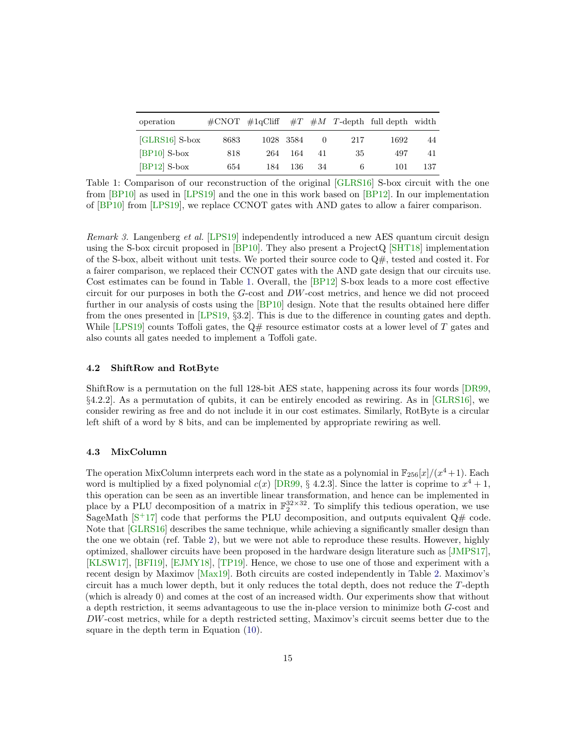<span id="page-14-0"></span>

| operation        |      | $\#\text{CNOT}$ $\#1qCliff$ |           |    |     | $\#T \#M$ T-depth full depth width |     |
|------------------|------|-----------------------------|-----------|----|-----|------------------------------------|-----|
| $[GLRS16]$ S-box | 8683 |                             | 1028 3584 |    | 217 | 1692                               | 44  |
| $[BP10]$ S-box   | 818  | 264                         | 164       | 41 | 35  | 497                                | 41  |
| $[BP12]$ S-box   | 654  | 184                         | 136       | 34 | 6   | 101                                | 137 |

Table 1: Comparison of our reconstruction of the original [\[GLRS16\]](#page-32-2) S-box circuit with the one from [\[BP10\]](#page-31-1) as used in [\[LPS19\]](#page-32-4) and the one in this work based on [\[BP12\]](#page-31-2). In our implementation of [\[BP10\]](#page-31-1) from [\[LPS19\]](#page-32-4), we replace CCNOT gates with AND gates to allow a fairer comparison.

Remark 3. Langenberg et al. [\[LPS19\]](#page-32-4) independently introduced a new AES quantum circuit design using the S-box circuit proposed in [\[BP10\]](#page-31-1). They also present a ProjectQ [\[SHT18\]](#page-33-11) implementation of the S-box, albeit without unit tests. We ported their source code to  $Q#$ , tested and costed it. For a fairer comparison, we replaced their CCNOT gates with the AND gate design that our circuits use. Cost estimates can be found in Table [1.](#page-14-0) Overall, the [\[BP12\]](#page-31-2) S-box leads to a more cost effective circuit for our purposes in both the G-cost and DW-cost metrics, and hence we did not proceed further in our analysis of costs using the  $[BP10]$  design. Note that the results obtained here differ from the ones presented in [\[LPS19,](#page-32-4) §3.2]. This is due to the difference in counting gates and depth. While [\[LPS19\]](#page-32-4) counts Toffoli gates, the  $Q#$  resource estimator costs at a lower level of T gates and also counts all gates needed to implement a Toffoli gate.

## 4.2 ShiftRow and RotByte

ShiftRow is a permutation on the full 128-bit AES state, happening across its four words [\[DR99,](#page-31-9) §4.2.2]. As a permutation of qubits, it can be entirely encoded as rewiring. As in [\[GLRS16\]](#page-32-2), we consider rewiring as free and do not include it in our cost estimates. Similarly, RotByte is a circular left shift of a word by 8 bits, and can be implemented by appropriate rewiring as well.

#### 4.3 MixColumn

The operation MixColumn interprets each word in the state as a polynomial in  $\mathbb{F}_{256}[x]/(x^4+1)$ . Each word is multiplied by a fixed polynomial  $c(x)$  [\[DR99,](#page-31-9) § 4.2.3]. Since the latter is coprime to  $x^4 + 1$ , this operation can be seen as an invertible linear transformation, and hence can be implemented in place by a PLU decomposition of a matrix in  $\mathbb{F}_2^{32\times32}$ . To simplify this tedious operation, we use SageMath  $[S^+17]$  $[S^+17]$  code that performs the PLU decomposition, and outputs equivalent  $Q#$  code. Note that [\[GLRS16\]](#page-32-2) describes the same technique, while achieving a significantly smaller design than the one we obtain (ref. Table [2\)](#page-15-0), but we were not able to reproduce these results. However, highly optimized, shallower circuits have been proposed in the hardware design literature such as [\[JMPS17\]](#page-32-23), [\[KLSW17\]](#page-32-24), [\[BFI19\]](#page-31-15), [\[EJMY18\]](#page-31-16), [\[TP19\]](#page-33-12). Hence, we chose to use one of those and experiment with a recent design by Maximov [\[Max19\]](#page-32-25). Both circuits are costed independently in Table [2.](#page-15-0) Maximov's circuit has a much lower depth, but it only reduces the total depth, does not reduce the T-depth (which is already 0) and comes at the cost of an increased width. Our experiments show that without a depth restriction, it seems advantageous to use the in-place version to minimize both G-cost and DW-cost metrics, while for a depth restricted setting, Maximov's circuit seems better due to the square in the depth term in Equation [\(10\)](#page-11-1).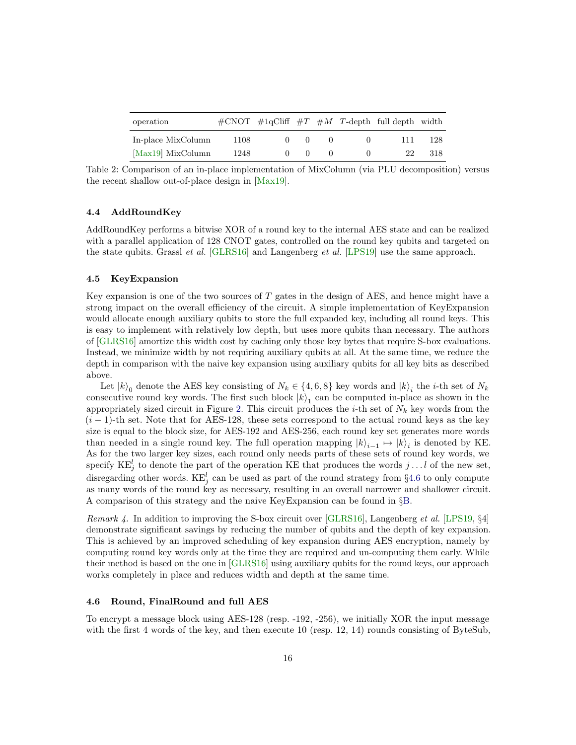<span id="page-15-0"></span>

| operation           |      |              |  | $\#\text{CNOT}$ #1qCliff #T #M T-depth full depth width |      |
|---------------------|------|--------------|--|---------------------------------------------------------|------|
| In-place MixColumn  | 1108 | $\mathbf{U}$ |  |                                                         | 128. |
| $[Max19]$ MixColumn | 1248 | $\cup$       |  | 22                                                      | -318 |

Table 2: Comparison of an in-place implementation of MixColumn (via PLU decomposition) versus the recent shallow out-of-place design in [\[Max19\]](#page-32-25).

#### 4.4 AddRoundKey

AddRoundKey performs a bitwise XOR of a round key to the internal AES state and can be realized with a parallel application of 128 CNOT gates, controlled on the round key qubits and targeted on the state qubits. Grassl *et al.* [\[GLRS16\]](#page-32-2) and Langenberg *et al.* [\[LPS19\]](#page-32-4) use the same approach.

#### <span id="page-15-2"></span>4.5 KeyExpansion

Key expansion is one of the two sources of  $T$  gates in the design of AES, and hence might have a strong impact on the overall efficiency of the circuit. A simple implementation of KeyExpansion would allocate enough auxiliary qubits to store the full expanded key, including all round keys. This is easy to implement with relatively low depth, but uses more qubits than necessary. The authors of [\[GLRS16\]](#page-32-2) amortize this width cost by caching only those key bytes that require S-box evaluations. Instead, we minimize width by not requiring auxiliary qubits at all. At the same time, we reduce the depth in comparison with the naive key expansion using auxiliary qubits for all key bits as described above.

Let  $|k\rangle_0$  denote the AES key consisting of  $N_k \in \{4, 6, 8\}$  key words and  $|k\rangle_i$  the *i*-th set of  $N_k$ consecutive round key words. The first such block  $|k\rangle_1$  can be computed in-place as shown in the appropriately sized circuit in Figure [2.](#page-16-0) This circuit produces the *i*-th set of  $N_k$  key words from the  $(i-1)$ -th set. Note that for AES-128, these sets correspond to the actual round keys as the key size is equal to the block size, for AES-192 and AES-256, each round key set generates more words than needed in a single round key. The full operation mapping  $|k\rangle_{i-1} \mapsto |k\rangle_i$  is denoted by KE. As for the two larger key sizes, each round only needs parts of these sets of round key words, we specify  $\mathrm{KE}_{j}^{l}$  to denote the part of the operation KE that produces the words  $j \ldots l$  of the new set, disregarding other words.  $\text{KE}_j^l$  can be used as part of the round strategy from §[4.6](#page-15-1) to only compute as many words of the round key as necessary, resulting in an overall narrower and shallower circuit. A comparison of this strategy and the naive KeyExpansion can be found in §[B.](#page-34-0)

Remark  $\lambda$ . In addition to improving the S-box circuit over [\[GLRS16\]](#page-32-2), Langenberg *et al.* [\[LPS19,](#page-32-4) §4] demonstrate significant savings by reducing the number of qubits and the depth of key expansion. This is achieved by an improved scheduling of key expansion during AES encryption, namely by computing round key words only at the time they are required and un-computing them early. While their method is based on the one in [\[GLRS16\]](#page-32-2) using auxiliary qubits for the round keys, our approach works completely in place and reduces width and depth at the same time.

#### <span id="page-15-1"></span>4.6 Round, FinalRound and full AES

To encrypt a message block using AES-128 (resp. -192, -256), we initially XOR the input message with the first 4 words of the key, and then execute 10 (resp. 12, 14) rounds consisting of ByteSub,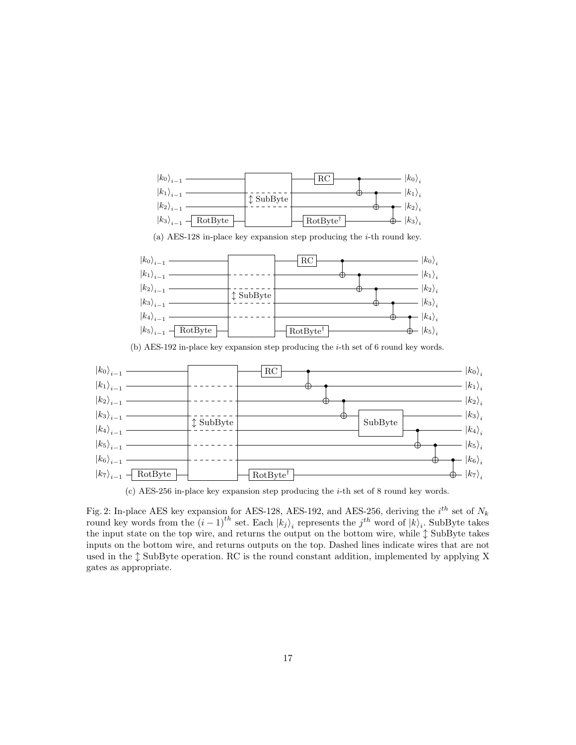<span id="page-16-0"></span>

(c) AES-256 in-place key expansion step producing the  $i$ -th set of 8 round key words.

Fig. 2: In-place AES key expansion for AES-128, AES-192, and AES-256, deriving the  $i^{th}$  set of  $N_k$ round key words from the  $(i-1)^{th}$  set. Each  $|k_j\rangle_i$  represents the  $j^{th}$  word of  $|k\rangle_i$ . SubByte takes the input state on the top wire, and returns the output on the bottom wire, while  $\updownarrow$  SubByte takes inputs on the bottom wire, and returns outputs on the top. Dashed lines indicate wires that are not used in the  $\updownarrow$  SubByte operation. RC is the round constant addition, implemented by applying X gates as appropriate.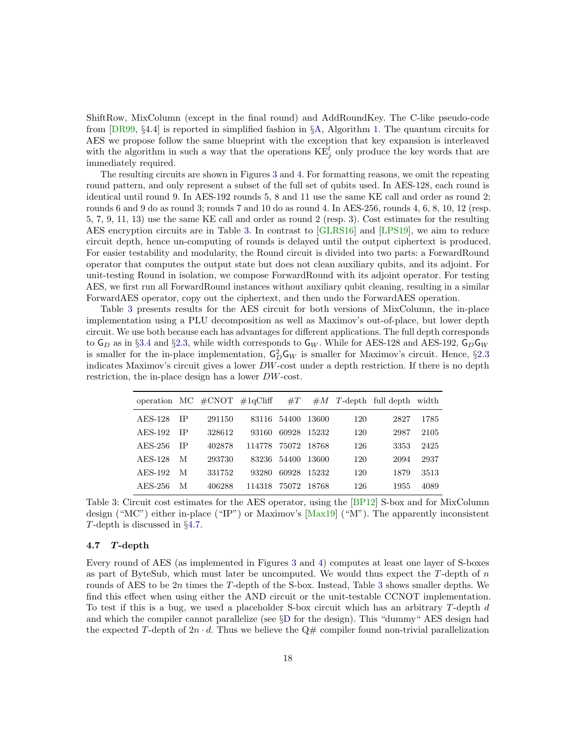ShiftRow, MixColumn (except in the final round) and AddRoundKey. The C-like pseudo-code from [\[DR99,](#page-31-9) §4.4] is reported in simplified fashion in §[A,](#page-34-1) Algorithm [1.](#page-34-2) The quantum circuits for AES we propose follow the same blueprint with the exception that key expansion is interleaved with the algorithm in such a way that the operations  $\mathrm{KE}_{j}^{l}$  only produce the key words that are immediately required.

The resulting circuits are shown in Figures [3](#page-18-0) and [4.](#page-19-0) For formatting reasons, we omit the repeating round pattern, and only represent a subset of the full set of qubits used. In AES-128, each round is identical until round 9. In AES-192 rounds 5, 8 and 11 use the same KE call and order as round 2; rounds 6 and 9 do as round 3; rounds 7 and 10 do as round 4. In AES-256, rounds 4, 6, 8, 10, 12 (resp. 5, 7, 9, 11, 13) use the same KE call and order as round 2 (resp. 3). Cost estimates for the resulting AES encryption circuits are in Table [3.](#page-17-0) In contrast to [\[GLRS16\]](#page-32-2) and [\[LPS19\]](#page-32-4), we aim to reduce circuit depth, hence un-computing of rounds is delayed until the output ciphertext is produced. For easier testability and modularity, the Round circuit is divided into two parts: a ForwardRound operator that computes the output state but does not clean auxiliary qubits, and its adjoint. For unit-testing Round in isolation, we compose ForwardRound with its adjoint operator. For testing AES, we first run all ForwardRound instances without auxiliary qubit cleaning, resulting in a similar ForwardAES operator, copy out the ciphertext, and then undo the ForwardAES operation.

Table [3](#page-17-0) presents results for the AES circuit for both versions of MixColumn, the in-place implementation using a PLU decomposition as well as Maximov's out-of-place, but lower depth circuit. We use both because each has advantages for different applications. The full depth corresponds to  $G_D$  as in §[3.4](#page-9-2) and §[2.3,](#page-6-0) while width corresponds to  $G_W$ . While for AES-128 and AES-192,  $G_D G_W$ is smaller for the in-place implementation,  $\mathsf{G}_{D}^{2}\mathsf{G}_{W}$  is smaller for Maximov's circuit. Hence, §[2.3](#page-6-0) indicates Maximov's circuit gives a lower  $DW$ -cost under a depth restriction. If there is no depth restriction, the in-place design has a lower DW-cost.

<span id="page-17-0"></span>

| operation MC $\#CNOT$ |    |        | $\#1qCliff$ | $\#T$ |        |     | $\#M$ T-depth full depth width |      |
|-----------------------|----|--------|-------------|-------|--------|-----|--------------------------------|------|
| AES-128               | IΡ | 291150 | 83116       | 54400 | 13600  | 120 | 2827                           | 1785 |
| AES-192               | IΡ | 328612 | 93160       | 60928 | 15232  | 120 | 2987                           | 2105 |
| AES-256               | IΡ | 402878 | 114778      | 75072 | -18768 | 126 | 3353                           | 2425 |
| AES-128               | М  | 293730 | 83236       | 54400 | 13600  | 120 | 2094                           | 2937 |
| AES-192               | М  | 331752 | 93280       | 60928 | 15232  | 120 | 1879                           | 3513 |
| AES-256               | М  | 406288 | 114318      | 75072 | 18768  | 126 | 1955                           | 4089 |

Table 3: Circuit cost estimates for the AES operator, using the [\[BP12\]](#page-31-2) S-box and for MixColumn design ("MC") either in-place ("IP") or Maximov's [\[Max19\]](#page-32-25) ("M"). The apparently inconsistent T-depth is discussed in §[4.7.](#page-17-1)

#### <span id="page-17-1"></span> $4.7$   $T$ -depth

Every round of AES (as implemented in Figures [3](#page-18-0) and [4\)](#page-19-0) computes at least one layer of S-boxes as part of ByteSub, which must later be uncomputed. We would thus expect the  $T$ -depth of  $n$ rounds of AES to be 2n times the T-depth of the S-box. Instead, Table [3](#page-17-0) shows smaller depths. We find this effect when using either the AND circuit or the unit-testable CCNOT implementation. To test if this is a bug, we used a placeholder S-box circuit which has an arbitrary T-depth d and which the compiler cannot parallelize (see §[D](#page-35-1) for the design). This "dummy" AES design had the expected T-depth of  $2n \cdot d$ . Thus we believe the  $Q#$  compiler found non-trivial parallelization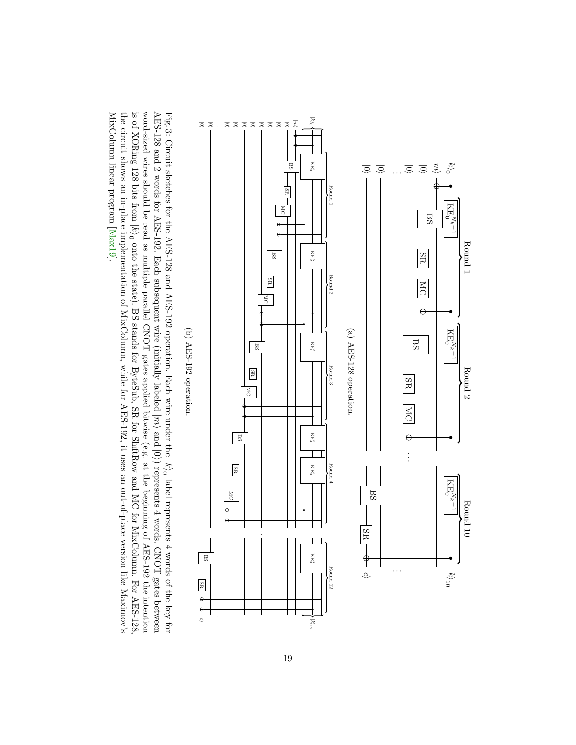

<span id="page-18-0"></span>MixColumn linear program [[Max19\]](#page-32-25). the circuit shows an in-place implementation of MixColumn, while for AES-192, it uses an out-of-place version like Maximov's word-sized wires should be read as multiple parallel CNOT gates applied bitwise (e.g. at the beginning of AES-192 the intention MixColumn linear program [ the circuit shows an in-place implementation of MixColumn, while for AES-192, it uses an out-of-place version like Maximov's is of XORing 128 bits from word-sized wires should be read as multiple parallel CNOT gates applied bitwise (e.g. at the beginning of AES-192 the intention AES-128 and 2 words for AES-192. Each subsequent wire (initially labeled Fig. 3: Circuit sketches for the AES-128 and AES-192 operation. Each wire under the  $|\& \rangle_0$ onto the state). BS stands for ByteSub, SR for ShiftRow and MC for MixColumn. For AES-128,  $\langle 0|$  pue  $\langle u|$ ) represents 4 words. CNOT gates between  $|\kappa\rangle_0$ label represents 4 words of the key for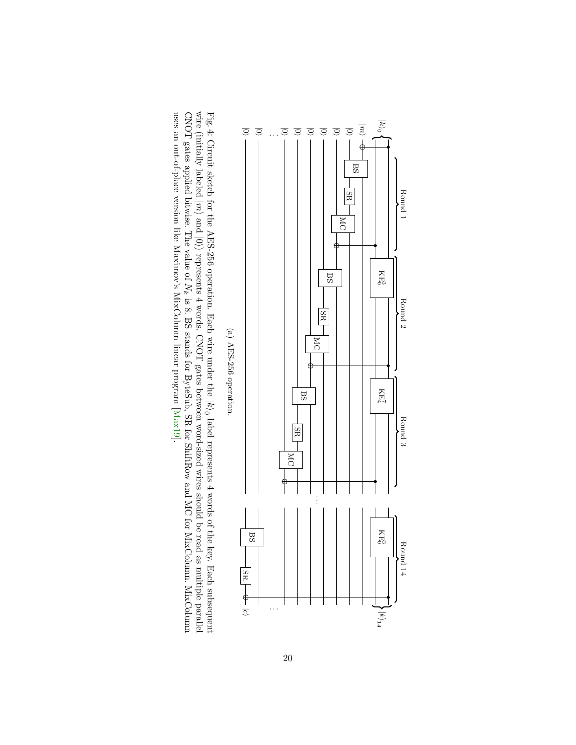

<span id="page-19-0"></span>uses an out-of-place version like Maximov's MixColumn linear program  $[\mathrm{Max19}]$  . uses an out-of-place version like Maximov's MixColumn linear program [\[Max19\]](#page-32-25). CNOT gates applied bitwise. The value of wire (initially labeled Fig. 4: Circuit sketch for the AES-256 operation. Each wire under the  $\langle 0|$  pue  $\langle u|$ ) represents 4 words. CNOT gates between word-sized wires should be read as multiple parallel Nk is 8. BS stands for ByteSub, SR for ShiftRow and MC for MixColumn. MixColumn  $|k\rangle_0$ label represents 4 words of the key. Each subsequent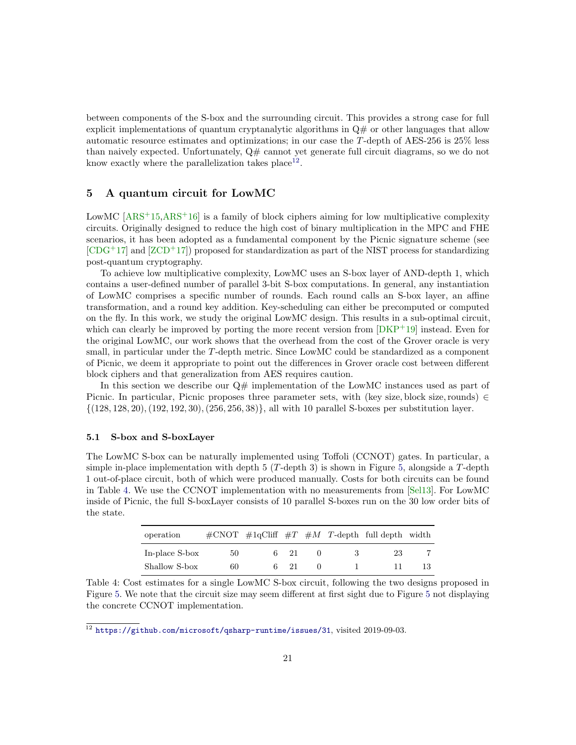between components of the S-box and the surrounding circuit. This provides a strong case for full explicit implementations of quantum cryptanalytic algorithms in  $Q#$  or other languages that allow automatic resource estimates and optimizations; in our case the T-depth of AES-256 is 25% less than naively expected. Unfortunately, Q# cannot yet generate full circuit diagrams, so we do not know exactly where the parallelization takes  $place^{12}$  $place^{12}$  $place^{12}$ .

## 5 A quantum circuit for LowMC

LowMC [\[ARS](#page-31-17)<sup>+</sup>15[,ARS](#page-31-18)<sup>+</sup>16] is a family of block ciphers aiming for low multiplicative complexity circuits. Originally designed to reduce the high cost of binary multiplication in the MPC and FHE scenarios, it has been adopted as a fundamental component by the Picnic signature scheme (see  $[CDG^+17]$  $[CDG^+17]$  and  $[ZCD^+17]$  $[ZCD^+17]$  proposed for standardization as part of the NIST process for standardizing post-quantum cryptography.

To achieve low multiplicative complexity, LowMC uses an S-box layer of AND-depth 1, which contains a user-defined number of parallel 3-bit S-box computations. In general, any instantiation of LowMC comprises a specific number of rounds. Each round calls an S-box layer, an affine transformation, and a round key addition. Key-scheduling can either be precomputed or computed on the fly. In this work, we study the original LowMC design. This results in a sub-optimal circuit, which can clearly be improved by porting the more recent version from  $[DKP+19]$  $[DKP+19]$  instead. Even for the original LowMC, our work shows that the overhead from the cost of the Grover oracle is very small, in particular under the T-depth metric. Since LowMC could be standardized as a component of Picnic, we deem it appropriate to point out the differences in Grover oracle cost between different block ciphers and that generalization from AES requires caution.

In this section we describe our  $Q\#$  implementation of the LowMC instances used as part of Picnic. In particular, Picnic proposes three parameter sets, with (key size, block size, rounds)  $\in$  $\{(128, 128, 20), (192, 192, 30), (256, 256, 38)\}\$ , all with 10 parallel S-boxes per substitution layer.

#### 5.1 S-box and S-boxLayer

The LowMC S-box can be naturally implemented using Toffoli (CCNOT) gates. In particular, a simple in-place implementation with depth 5 (T-depth 3) is shown in Figure [5,](#page-21-0) alongside a  $T$ -depth 1 out-of-place circuit, both of which were produced manually. Costs for both circuits can be found in Table [4.](#page-20-1) We use the CCNOT implementation with no measurements from [\[Sel13\]](#page-32-7). For LowMC inside of Picnic, the full S-boxLayer consists of 10 parallel S-boxes run on the 30 low order bits of the state.

<span id="page-20-1"></span>

| operation      |    |              |              | $\#\text{CNOT}$ #1qCliff #T #M T-depth full depth width |  |
|----------------|----|--------------|--------------|---------------------------------------------------------|--|
| In-place S-box | 50 | $6 \quad 21$ |              | 23                                                      |  |
| Shallow S-box  | 60 | 6 21         | $\mathbf{U}$ |                                                         |  |

Table 4: Cost estimates for a single LowMC S-box circuit, following the two designs proposed in Figure [5.](#page-21-0) We note that the circuit size may seem different at first sight due to Figure [5](#page-21-0) not displaying the concrete CCNOT implementation.

<span id="page-20-0"></span> $^{12}$ <https://github.com/microsoft/qsharp-runtime/issues/31>, visited 2019-09-03.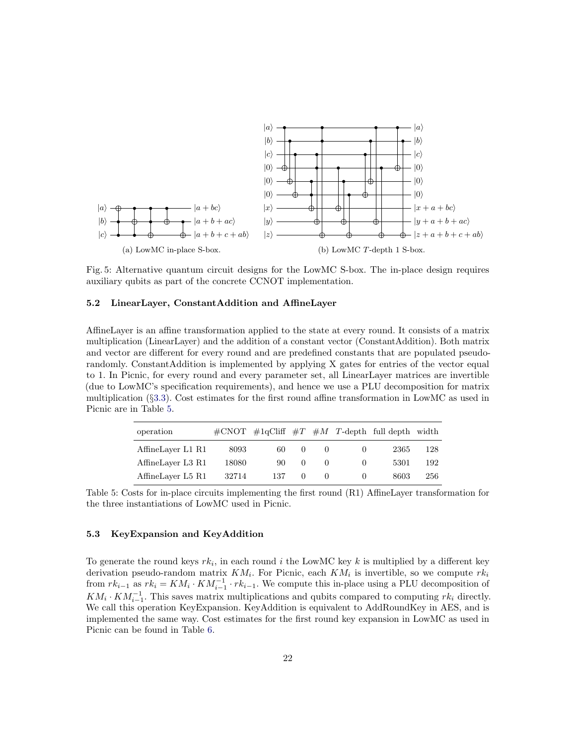<span id="page-21-0"></span>

Fig. 5: Alternative quantum circuit designs for the LowMC S-box. The in-place design requires auxiliary qubits as part of the concrete CCNOT implementation.

# 5.2 LinearLayer, ConstantAddition and AffineLayer

AffineLayer is an affine transformation applied to the state at every round. It consists of a matrix multiplication (LinearLayer) and the addition of a constant vector (ConstantAddition). Both matrix and vector are different for every round and are predefined constants that are populated pseudorandomly. ConstantAddition is implemented by applying X gates for entries of the vector equal to 1. In Picnic, for every round and every parameter set, all LinearLayer matrices are invertible (due to LowMC's specification requirements), and hence we use a PLU decomposition for matrix multiplication (§[3.3\)](#page-9-1). Cost estimates for the first round affine transformation in LowMC as used in Picnic are in Table [5.](#page-21-1)

<span id="page-21-1"></span>

| operation         | $\#\text{CNOT}$ |      |              |              | $\#1qCliff$ $\#T$ $\#M$ T-depth full depth width |     |
|-------------------|-----------------|------|--------------|--------------|--------------------------------------------------|-----|
| AffineLayer L1 R1 | 8093            | 60   | $\cup$       | $\mathbf{U}$ | 2365                                             | 128 |
| AffineLayer L3 R1 | 18080           | 90.  |              | $\cup$       | 5301                                             | 192 |
| AffineLayer L5 R1 | 32714           | 137. | $\mathbf{U}$ | $\mathbf{U}$ | 8603                                             | 256 |

Table 5: Costs for in-place circuits implementing the first round (R1) AffineLayer transformation for the three instantiations of LowMC used in Picnic.

#### 5.3 KeyExpansion and KeyAddition

To generate the round keys  $rk_i$ , in each round i the LowMC key k is multiplied by a different key derivation pseudo-random matrix  $KM_i$ . For Picnic, each  $KM_i$  is invertible, so we compute  $rk_i$ from  $rk_{i-1}$  as  $rk_i = KM_i \cdot KM_{i-1}^{-1} \cdot rk_{i-1}$ . We compute this in-place using a PLU decomposition of  $KM_i \cdot KM_{i-1}^{-1}$ . This saves matrix multiplications and qubits compared to computing  $rk_i$  directly. We call this operation KeyExpansion. KeyAddition is equivalent to AddRoundKey in AES, and is implemented the same way. Cost estimates for the first round key expansion in LowMC as used in Picnic can be found in Table [6.](#page-22-0)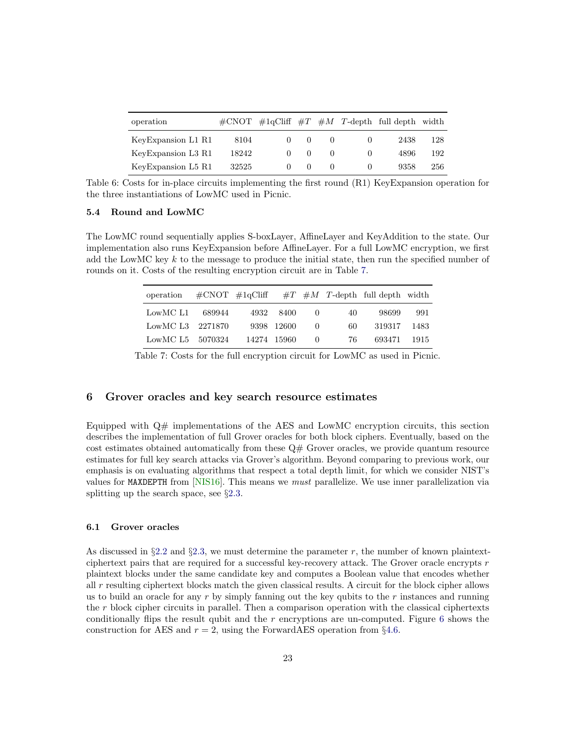<span id="page-22-0"></span>

| operation           |       | $\#\text{CNOT}$ $\#1qCliff$ $\#T$ |              |  | $#M$ T-depth full depth width |      |
|---------------------|-------|-----------------------------------|--------------|--|-------------------------------|------|
| KeyExpansion L1 R1  | 8104  |                                   |              |  | 2438                          | 128. |
| Key Expansion L3 R1 | 18242 |                                   | $\mathbf{U}$ |  | 4896                          | 192. |
| KeyExpansion L5 R1  | 32525 |                                   |              |  | 9358                          | 256  |

Table 6: Costs for in-place circuits implementing the first round (R1) KeyExpansion operation for the three instantiations of LowMC used in Picnic.

#### 5.4 Round and LowMC

<span id="page-22-1"></span>The LowMC round sequentially applies S-boxLayer, AffineLayer and KeyAddition to the state. Our implementation also runs KeyExpansion before AffineLayer. For a full LowMC encryption, we first add the LowMC key  $k$  to the message to produce the initial state, then run the specified number of rounds on it. Costs of the resulting encryption circuit are in Table [7.](#page-22-1)

| operation          |  |               |            |     | $\#\text{CNOT}$ #1qCliff #T #M T-depth full depth width |     |
|--------------------|--|---------------|------------|-----|---------------------------------------------------------|-----|
| LowMC L1 $-689944$ |  | 4932 8400     | $\sqrt{ }$ | 40  | 98699                                                   | 991 |
| LowMC L3 2271870   |  | 9398 12600    | $\bigcap$  | 60. | 319317 1483                                             |     |
| LowMC L5 5070324   |  | 14274 15960 0 |            | 76. | 693471 1915                                             |     |

Table 7: Costs for the full encryption circuit for LowMC as used in Picnic.

## 6 Grover oracles and key search resource estimates

Equipped with  $Q#$  implementations of the AES and LowMC encryption circuits, this section describes the implementation of full Grover oracles for both block ciphers. Eventually, based on the cost estimates obtained automatically from these  $Q#$  Grover oracles, we provide quantum resource estimates for full key search attacks via Grover's algorithm. Beyond comparing to previous work, our emphasis is on evaluating algorithms that respect a total depth limit, for which we consider NIST's values for MAXDEPTH from [\[NIS16\]](#page-32-1). This means we *must* parallelize. We use inner parallelization via splitting up the search space, see §[2.3.](#page-6-0)

#### <span id="page-22-2"></span>6.1 Grover oracles

As discussed in  $\S 2.2$  $\S 2.2$  and  $\S 2.3$ , we must determine the parameter r, the number of known plaintextciphertext pairs that are required for a successful key-recovery attack. The Grover oracle encrypts r plaintext blocks under the same candidate key and computes a Boolean value that encodes whether all r resulting ciphertext blocks match the given classical results. A circuit for the block cipher allows us to build an oracle for any  $r$  by simply fanning out the key qubits to the  $r$  instances and running the r block cipher circuits in parallel. Then a comparison operation with the classical ciphertexts conditionally flips the result qubit and the  $r$  encryptions are un-computed. Figure  $6$  shows the construction for AES and  $r = 2$ , using the ForwardAES operation from §[4.6.](#page-15-1)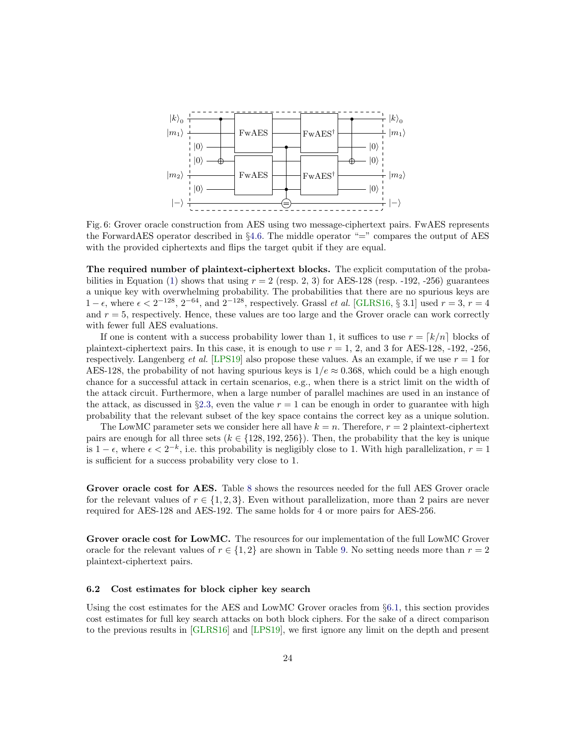<span id="page-23-0"></span>

Fig. 6: Grover oracle construction from AES using two message-ciphertext pairs. FwAES represents the ForwardAES operator described in §[4.6.](#page-15-1) The middle operator "=" compares the output of AES with the provided ciphertexts and flips the target qubit if they are equal.

The required number of plaintext-ciphertext blocks. The explicit computation of the proba-bilities in Equation [\(1\)](#page-4-1) shows that using  $r = 2$  (resp. 2, 3) for AES-128 (resp. -192, -256) guarantees a unique key with overwhelming probability. The probabilities that there are no spurious keys are  $1-\epsilon$ , where  $\epsilon < 2^{-128}$ ,  $2^{-64}$ , and  $2^{-128}$ , respectively. Grassl *et al.* [\[GLRS16,](#page-32-2) § 3.1] used  $r=3$ ,  $r=4$ and  $r = 5$ , respectively. Hence, these values are too large and the Grover oracle can work correctly with fewer full AES evaluations.

If one is content with a success probability lower than 1, it suffices to use  $r = \lfloor k/n \rfloor$  blocks of plaintext-ciphertext pairs. In this case, it is enough to use  $r = 1$ , 2, and 3 for AES-128, -192, -256, respectively. Langenberg et al. [\[LPS19\]](#page-32-4) also propose these values. As an example, if we use  $r = 1$  for AES-128, the probability of not having spurious keys is  $1/e \approx 0.368$ , which could be a high enough chance for a successful attack in certain scenarios, e.g., when there is a strict limit on the width of the attack circuit. Furthermore, when a large number of parallel machines are used in an instance of the attack, as discussed in §[2.3,](#page-6-0) even the value  $r = 1$  can be enough in order to guarantee with high probability that the relevant subset of the key space contains the correct key as a unique solution.

The LowMC parameter sets we consider here all have  $k = n$ . Therefore,  $r = 2$  plaintext-ciphertext pairs are enough for all three sets  $(k \in \{128, 192, 256\})$ . Then, the probability that the key is unique is  $1 - \epsilon$ , where  $\epsilon < 2^{-k}$ , i.e. this probability is negligibly close to 1. With high parallelization,  $r = 1$ is sufficient for a success probability very close to 1.

Grover oracle cost for AES. Table [8](#page-24-0) shows the resources needed for the full AES Grover oracle for the relevant values of  $r \in \{1, 2, 3\}$ . Even without parallelization, more than 2 pairs are never required for AES-128 and AES-192. The same holds for 4 or more pairs for AES-256.

Grover oracle cost for LowMC. The resources for our implementation of the full LowMC Grover oracle for the relevant values of  $r \in \{1,2\}$  are shown in Table [9.](#page-24-1) No setting needs more than  $r = 2$ plaintext-ciphertext pairs.

#### 6.2 Cost estimates for block cipher key search

Using the cost estimates for the AES and LowMC Grover oracles from §[6.1,](#page-22-2) this section provides cost estimates for full key search attacks on both block ciphers. For the sake of a direct comparison to the previous results in [\[GLRS16\]](#page-32-2) and [\[LPS19\]](#page-32-4), we first ignore any limit on the depth and present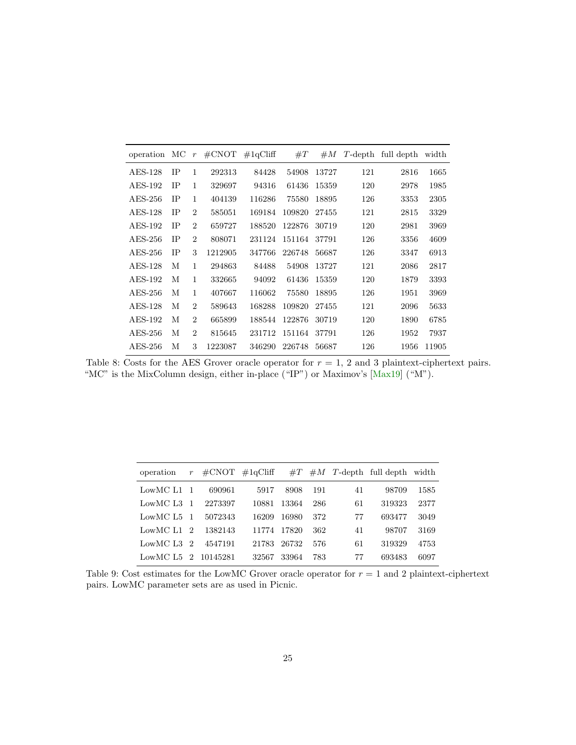<span id="page-24-0"></span>

| operation MC |           | $\boldsymbol{r}$ | $\#\text{CNOT}$ | $\#1qCliff$ | #T     | $\#M$ |     | T-depth full depth | width |
|--------------|-----------|------------------|-----------------|-------------|--------|-------|-----|--------------------|-------|
| $AES-128$    | IP        | 1                | 292313          | 84428       | 54908  | 13727 | 121 | 2816               | 1665  |
| AES-192      | IΡ        | 1                | 329697          | 94316       | 61436  | 15359 | 120 | 2978               | 1985  |
| $AES-256$    | IΡ        | 1                | 404139          | 116286      | 75580  | 18895 | 126 | 3353               | 2305  |
| $AES-128$    | <b>IP</b> | $\overline{2}$   | 585051          | 169184      | 109820 | 27455 | 121 | 2815               | 3329  |
| $AES-192$    | IΡ        | $\overline{2}$   | 659727          | 188520      | 122876 | 30719 | 120 | 2981               | 3969  |
| $AES-256$    | IΡ        | $\overline{2}$   | 808071          | 231124      | 151164 | 37791 | 126 | 3356               | 4609  |
| $AES-256$    | <b>IP</b> | 3                | 1212905         | 347766      | 226748 | 56687 | 126 | 3347               | 6913  |
| AES-128      | М         | 1                | 294863          | 84488       | 54908  | 13727 | 121 | 2086               | 2817  |
| $AES-192$    | M         | 1                | 332665          | 94092       | 61436  | 15359 | 120 | 1879               | 3393  |
| $AES-256$    | M         | 1                | 407667          | 116062      | 75580  | 18895 | 126 | 1951               | 3969  |
| $AES-128$    | М         | $\overline{2}$   | 589643          | 168288      | 109820 | 27455 | 121 | 2096               | 5633  |
| $AES-192$    | М         | $\overline{2}$   | 665899          | 188544      | 122876 | 30719 | 120 | 1890               | 6785  |
| $AES-256$    | М         | $\overline{2}$   | 815645          | 231712      | 151164 | 37791 | 126 | 1952               | 7937  |
| $AES-256$    | М         | 3                | 1223087         | 346290      | 226748 | 56687 | 126 | 1956               | 11905 |

Table 8: Costs for the AES Grover oracle operator for  $r = 1$ , 2 and 3 plaintext-ciphertext pairs. "MC" is the MixColumn design, either in-place ("IP") or Maximov's [\[Max19\]](#page-32-25) ("M").

<span id="page-24-1"></span>

| operation    | $\boldsymbol{r}$ | $\#\text{CNOT}$ | $\#1qCliff$ | $\#T$ | $\#M$ |    | T-depth full depth width |      |
|--------------|------------------|-----------------|-------------|-------|-------|----|--------------------------|------|
| LowMC L1     | $\overline{1}$   | 690961          | 5917        | 8908  | 191   | 41 | 98709                    | 1585 |
| LowMC L3     | $\overline{1}$   | 2273397         | 10881       | 13364 | 286   | 61 | 319323                   | 2377 |
| LowMC L5     | $\overline{1}$   | 5072343         | 16209       | 16980 | 372   | 77 | 693477                   | 3049 |
| LowMC L1     | $\overline{2}$   | 1382143         | 11774       | 17820 | 362   | 41 | 98707                    | 3169 |
| LowMC L3     | -2               | 4547191         | 21783       | 26732 | 576   | 61 | 319329                   | 4753 |
| Low $MCL5$ 2 |                  | 10145281        | 32567       | 33964 | 783   | 77 | 693483                   | 6097 |
|              |                  |                 |             |       |       |    |                          |      |

Table 9: Cost estimates for the LowMC Grover oracle operator for  $r = 1$  and 2 plaintext-ciphertext pairs. LowMC parameter sets are as used in Picnic.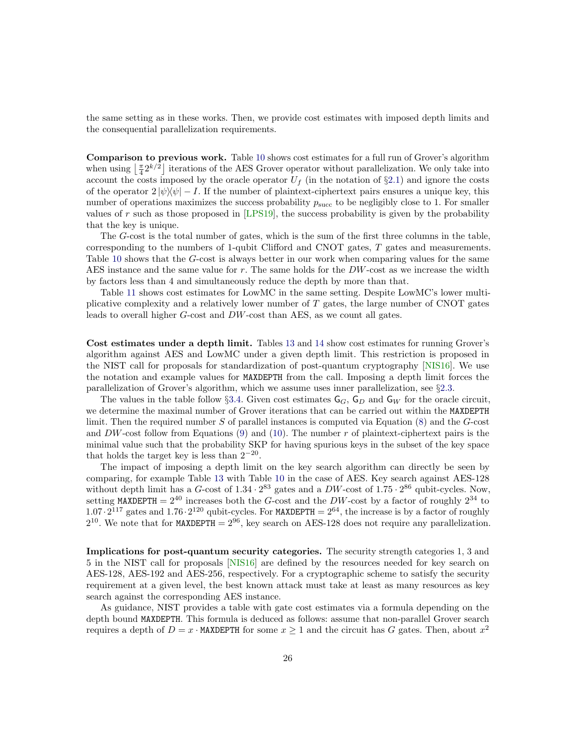the same setting as in these works. Then, we provide cost estimates with imposed depth limits and the consequential parallelization requirements.

Comparison to previous work. Table [10](#page-26-0) shows cost estimates for a full run of Grover's algorithm when using  $\left[\frac{\pi}{4}2^{k/2}\right]$  iterations of the AES Grover operator without parallelization. We only take into account the costs imposed by the oracle operator  $U_f$  (in the notation of §[2.1\)](#page-3-0) and ignore the costs of the operator  $2 |\psi\rangle \psi| - I$ . If the number of plaintext-ciphertext pairs ensures a unique key, this number of operations maximizes the success probability  $p_{succ}$  to be negligibly close to 1. For smaller values of r such as those proposed in  $[LPS19]$ , the success probability is given by the probability that the key is unique.

The G-cost is the total number of gates, which is the sum of the first three columns in the table, corresponding to the numbers of 1-qubit Clifford and CNOT gates, T gates and measurements. Table [10](#page-26-0) shows that the G-cost is always better in our work when comparing values for the same AES instance and the same value for  $r$ . The same holds for the  $DW$ -cost as we increase the width by factors less than 4 and simultaneously reduce the depth by more than that.

Table [11](#page-27-0) shows cost estimates for LowMC in the same setting. Despite LowMC's lower multiplicative complexity and a relatively lower number of  $T$  gates, the large number of CNOT gates leads to overall higher G-cost and DW-cost than AES, as we count all gates.

Cost estimates under a depth limit. Tables [13](#page-29-0) and [14](#page-30-0) show cost estimates for running Grover's algorithm against AES and LowMC under a given depth limit. This restriction is proposed in the NIST call for proposals for standardization of post-quantum cryptography [\[NIS16\]](#page-32-1). We use the notation and example values for MAXDEPTH from the call. Imposing a depth limit forces the parallelization of Grover's algorithm, which we assume uses inner parallelization, see §[2.3.](#page-6-0)

The values in the table follow §[3.4.](#page-9-2) Given cost estimates  $G_G$ ,  $G_D$  and  $G_W$  for the oracle circuit, we determine the maximal number of Grover iterations that can be carried out within the MAXDEPTH limit. Then the required number  $S$  of parallel instances is computed via Equation  $(8)$  and the  $G$ -cost and  $DW$ -cost follow from Equations [\(9\)](#page-11-3) and [\(10\)](#page-11-1). The number r of plaintext-ciphertext pairs is the minimal value such that the probability SKP for having spurious keys in the subset of the key space that holds the target key is less than  $2^{-20}$ .

The impact of imposing a depth limit on the key search algorithm can directly be seen by comparing, for example Table [13](#page-29-0) with Table [10](#page-26-0) in the case of AES. Key search against AES-128 without depth limit has a G-cost of  $1.34 \cdot 2^{83}$  gates and a DW-cost of  $1.75 \cdot 2^{86}$  qubit-cycles. Now, setting MAXDEPTH =  $2^{40}$  increases both the G-cost and the DW-cost by a factor of roughly  $2^{34}$  to  $1.07 \cdot 2^{117}$  gates and  $1.76 \cdot 2^{120}$  qubit-cycles. For MAXDEPTH =  $2^{64}$ , the increase is by a factor of roughly  $2^{10}$ . We note that for MAXDEPTH =  $2^{96}$ , key search on AES-128 does not require any parallelization.

Implications for post-quantum security categories. The security strength categories 1, 3 and 5 in the NIST call for proposals [\[NIS16\]](#page-32-1) are defined by the resources needed for key search on AES-128, AES-192 and AES-256, respectively. For a cryptographic scheme to satisfy the security requirement at a given level, the best known attack must take at least as many resources as key search against the corresponding AES instance.

As guidance, NIST provides a table with gate cost estimates via a formula depending on the depth bound MAXDEPTH. This formula is deduced as follows: assume that non-parallel Grover search requires a depth of  $D = x \cdot \texttt{MAXDEFTH}$  for some  $x \geq 1$  and the circuit has G gates. Then, about  $x^2$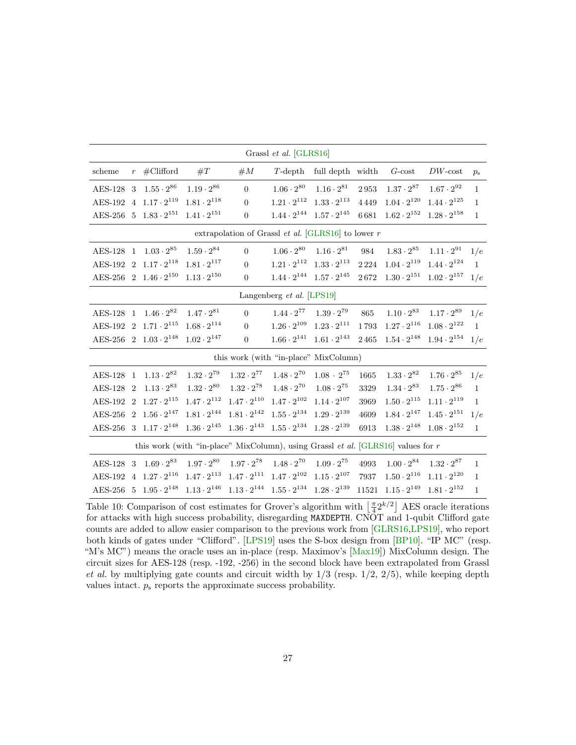<span id="page-26-0"></span>

|                                                        |  |                                                     |                      |                                         | Grassl et al. [GLRS16]                                                                                                                                          |                                           |         |                                                                                      |                      |              |
|--------------------------------------------------------|--|-----------------------------------------------------|----------------------|-----------------------------------------|-----------------------------------------------------------------------------------------------------------------------------------------------------------------|-------------------------------------------|---------|--------------------------------------------------------------------------------------|----------------------|--------------|
| scheme                                                 |  | $r \neq$ Clifford                                   | $\#T$                | #M                                      |                                                                                                                                                                 | $T$ -depth full depth width               |         | $G$ -cost                                                                            | $DW$ -cost           | $p_{\rm s}$  |
|                                                        |  | AES-128 3 $1.55 \cdot 2^{86}$                       | $1.19 \cdot 2^{86}$  | $\Omega$                                | $1.06 \cdot 2^{80}$                                                                                                                                             | $1.16 \cdot 2^{81}$                       | 2953    | $1.37 \cdot 2^{87}$                                                                  | $1.67 \cdot 2^{92}$  | $\mathbf{1}$ |
|                                                        |  | AES-192 4 $1.17 \cdot 2^{119}$                      | $1.81 \cdot 2^{118}$ | $\Omega$                                | $1.21 \cdot 2^{112}$                                                                                                                                            | $1.33 \cdot 2^{113}$                      | 4449    | $1.04 \cdot 2^{120}$                                                                 | $1.44 \cdot 2^{125}$ | $\mathbf{1}$ |
|                                                        |  | AES-256 5 $1.83 \cdot 2^{151}$ $1.41 \cdot 2^{151}$ |                      | $\Omega$                                |                                                                                                                                                                 | $1.44 \cdot 2^{144}$ $1.57 \cdot 2^{145}$ | 6681    | $1.62 \cdot 2^{152}$ $1.28 \cdot 2^{158}$                                            |                      | $\mathbf{1}$ |
| extrapolation of Grassl $et$ al. [GLRS16] to lower $r$ |  |                                                     |                      |                                         |                                                                                                                                                                 |                                           |         |                                                                                      |                      |              |
|                                                        |  | AES-128 1 $1.03 \cdot 2^{85}$                       | $1.59 \cdot 2^{84}$  | $\Omega$                                | $1.06 \cdot 2^{80}$                                                                                                                                             | $1.16 \cdot 2^{81}$                       | 984     | $1.83 \cdot 2^{85}$                                                                  | $1.11 \cdot 2^{91}$  | 1/e          |
|                                                        |  | AES-192 2 $1.17 \cdot 2^{118}$                      | $1.81 \cdot 2^{117}$ | $\Omega$                                | $1.21 \cdot 2^{112}$                                                                                                                                            | $1.33 \cdot 2^{113}$                      | 2 2 2 4 | $1.04 \cdot 2^{119}$                                                                 | $1.44 \cdot 2^{124}$ | $\mathbf{1}$ |
|                                                        |  | AES-256 2 $1.46 \cdot 2^{150}$ $1.13 \cdot 2^{150}$ |                      | $\Omega$                                |                                                                                                                                                                 | $1.44 \cdot 2^{144}$ $1.57 \cdot 2^{145}$ |         | $2672 \quad 1.30 \cdot 2^{151} \quad 1.02 \cdot 2^{157}$                             |                      | 1/e          |
|                                                        |  |                                                     |                      |                                         | Langenberg $et \ al.$ [LPS19]                                                                                                                                   |                                           |         |                                                                                      |                      |              |
|                                                        |  | AES-128 1 $1.46 \cdot 2^{82}$                       | $1.47 \cdot 2^{81}$  | $\Omega$                                |                                                                                                                                                                 | $1.44 \cdot 2^{77}$ $1.39 \cdot 2^{79}$   | 865     | $1.10 \cdot 2^{83}$                                                                  | $1.17 \cdot 2^{89}$  | 1/e          |
|                                                        |  | AES-192 2 1.71 $\cdot 2^{115}$ 1.68 $\cdot 2^{114}$ |                      | $\Omega$                                |                                                                                                                                                                 | $1.26 \cdot 2^{109}$ $1.23 \cdot 2^{111}$ | 1793    | $1.27 \cdot 2^{116}$                                                                 | $1.08 \cdot 2^{122}$ | $\mathbf{1}$ |
|                                                        |  | AES-256 2 $1.03 \cdot 2^{148}$ $1.02 \cdot 2^{147}$ |                      | $\overline{0}$                          |                                                                                                                                                                 | $1.66 \cdot 2^{141}$ $1.61 \cdot 2^{143}$ | 2465    | $1.54 \cdot 2^{148}$                                                                 | $1.94 \cdot 2^{154}$ | 1/e          |
|                                                        |  |                                                     |                      |                                         | this work (with "in-place" MixColumn)                                                                                                                           |                                           |         |                                                                                      |                      |              |
|                                                        |  | AES-128 1 $1.13 \cdot 2^{82}$                       | $1.32 \cdot 2^{79}$  | $1.32 \cdot 2^{77}$                     | $1.48 \cdot 2^{70}$                                                                                                                                             | $1.08 \cdot 2^{75}$                       | 1665    | $1.33 \cdot 2^{82}$                                                                  | $1.76 \cdot 2^{85}$  | 1/e          |
| AES-128 2                                              |  | $1.13 \cdot 2^{83}$                                 | $1.32 \cdot 2^{80}$  | $1.32 \cdot 2^{78}$ $1.48 \cdot 2^{70}$ |                                                                                                                                                                 | $1.08 \cdot 2^{75}$                       | 3329    | $1.34 \cdot 2^{83}$                                                                  | $1.75 \cdot 2^{86}$  | $\mathbf{1}$ |
|                                                        |  |                                                     |                      |                                         | AES-192 2 1.27 $\cdot 2^{115}$ 1.47 $\cdot 2^{112}$ 1.47 $\cdot 2^{110}$ 1.47 $\cdot 2^{102}$ 1.14 $\cdot 2^{107}$                                              |                                           | 3969    | $1.50 \cdot 2^{115}$                                                                 | $1.11 \cdot 2^{119}$ | $\mathbf{1}$ |
|                                                        |  | AES-256 2 $1.56 \cdot 2^{147}$                      |                      |                                         | $1.81 \cdot 2^{144}$ $1.81 \cdot 2^{142}$ $1.55 \cdot 2^{134}$ $1.29 \cdot 2^{139}$                                                                             |                                           | 4609    | $1.84 \cdot 2^{147}$                                                                 | $1.45 \cdot 2^{151}$ | 1/e          |
|                                                        |  |                                                     |                      |                                         | AES-256 3 1.17 $\cdot$ 2 <sup>148</sup> 1.36 $\cdot$ 2 <sup>145</sup> 1.36 $\cdot$ 2 <sup>143</sup> 1.55 $\cdot$ 2 <sup>134</sup> 1.28 $\cdot$ 2 <sup>139</sup> |                                           | 6913    | $1.38 \cdot 2^{148}$                                                                 | $1.08 \cdot 2^{152}$ | $\mathbf{1}$ |
|                                                        |  |                                                     |                      |                                         |                                                                                                                                                                 |                                           |         | this work (with "in-place" MixColumn), using Grassl $et al.$ [GLRS16] values for $r$ |                      |              |
|                                                        |  |                                                     |                      |                                         | AES-128 3 1.69 $2^{83}$ 1.97 $2^{80}$ 1.97 $2^{78}$ 1.48 $2^{70}$ 1.09 $2^{75}$                                                                                 |                                           | 4993    | $1.00 \cdot 2^{84}$                                                                  | $1.32 \cdot 2^{87}$  | $\mathbf{1}$ |
|                                                        |  |                                                     |                      |                                         | AES-192 4 $1.27 \cdot 2^{116}$ $1.47 \cdot 2^{113}$ $1.47 \cdot 2^{111}$ $1.47 \cdot 2^{102}$ $1.15 \cdot 2^{107}$                                              |                                           | 7937    | $1.50 \cdot 2^{116}$                                                                 | $1.11 \cdot 2^{120}$ | $\mathbf{1}$ |
|                                                        |  |                                                     |                      |                                         | AES-256 5 $1.95 \cdot 2^{148}$ $1.13 \cdot 2^{146}$ $1.13 \cdot 2^{144}$ $1.55 \cdot 2^{134}$ $1.28 \cdot 2^{139}$                                              |                                           | 11521   | $1.15 \cdot 2^{149}$ $1.81 \cdot 2^{152}$                                            |                      | $\mathbf{1}$ |

Table 10: Comparison of cost estimates for Grover's algorithm with  $\left\lfloor \frac{\pi}{4} 2^{k/2} \right\rfloor$  AES oracle iterations for attacks with high success probability, disregarding MAXDEPTH. CNOT and 1-qubit Clifford gate counts are added to allow easier comparison to the previous work from [\[GLRS16](#page-32-2)[,LPS19\]](#page-32-4), who report both kinds of gates under "Clifford". [\[LPS19\]](#page-32-4) uses the S-box design from [\[BP10\]](#page-31-1). "IP MC" (resp. "M's MC") means the oracle uses an in-place (resp. Maximov's [\[Max19\]](#page-32-25)) MixColumn design. The circuit sizes for AES-128 (resp. -192, -256) in the second block have been extrapolated from Grassl et al. by multiplying gate counts and circuit width by  $1/3$  (resp.  $1/2$ ,  $2/5$ ), while keeping depth values intact.  $p_s$  reports the approximate success probability.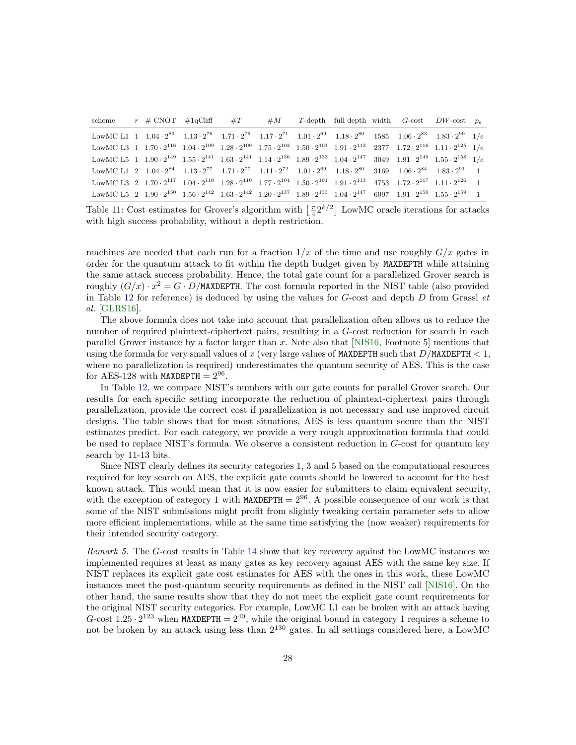<span id="page-27-0"></span>

| scheme $r \# \text{CNOT}$ #1qCliff #T #M T-depth full depth width G-cost DW-cost $p_s$                                                                                                                                                         |  |  |  |  |  |  |
|------------------------------------------------------------------------------------------------------------------------------------------------------------------------------------------------------------------------------------------------|--|--|--|--|--|--|
| LowMC L1 1 $1.04 \cdot 2^{83}$ $1.13 \cdot 2^{76}$ $1.71 \cdot 2^{76}$ $1.17 \cdot 2^{71}$ $1.01 \cdot 2^{69}$ $1.18 \cdot 2^{80}$ $1585$ $1.06 \cdot 2^{83}$ $1.83 \cdot 2^{90}$ $1/e$                                                        |  |  |  |  |  |  |
| $\rm Low MC\ L3 \ 1 \ 1.70 \cdot 2^{116} \ 1.04 \cdot 2^{109} \ 1.28 \cdot 2^{109} \ 1.75 \cdot 2^{103} \ 1.50 \cdot 2^{101} \ 1.91 \cdot 2^{113} \ 2377 \ 1.72 \cdot 2^{116} \ 1.11 \cdot 2^{125} \ 1/e$                                      |  |  |  |  |  |  |
| $\rm Low MC\ L5 \ \ 1 \ \ 1.90\cdot2^{149} \ \ 1.55\cdot2^{141} \ \ 1.63\cdot2^{141} \ \ 1.14\cdot2^{136} \ \ 1.89\cdot2^{133} \ \ 1.04\cdot2^{147} \ \ 3049 \ \ 1.91\cdot2^{149} \ \ 1.55\cdot2^{158} \ \ 1/e$                                |  |  |  |  |  |  |
| LowMC L1 2 $1.04 \cdot 2^{84}$ $1.13 \cdot 2^{77}$ $1.71 \cdot 2^{77}$ $1.11 \cdot 2^{72}$ $1.01 \cdot 2^{69}$ $1.18 \cdot 2^{80}$ $3169$ $1.06 \cdot 2^{84}$ $1.83 \cdot 2^{91}$ 1                                                            |  |  |  |  |  |  |
| $\rm Low MC\ L3\_2\_1.70\cdot2^{117\_1.04\cdot2^{110\_1.28\cdot2^{110\_1.77\cdot2^{104\_1.50\cdot2^{101\_1.91\cdot2^{113\_4753\_1.72\cdot2^{117\_1.11\cdot2^{126\_1}}}}$                                                                       |  |  |  |  |  |  |
| $\rm Low MC\ L5 \ \ 2 \ \ 1.90 \cdot 2^{150} \ \ 1.56 \cdot 2^{142} \ \ 1.63 \cdot 2^{142} \ \ 1.20 \cdot 2^{137} \ \ 1.89 \cdot 2^{133} \ \ 1.04 \cdot 2^{147} \ \ 6097 \ \ 1.91 \cdot 2^{150} \ \ 1.55 \cdot 2^{159} \ \ 1.59 \cdot 2^{150}$ |  |  |  |  |  |  |

Table 11: Cost estimates for Grover's algorithm with  $\left\lfloor \frac{\pi}{4} 2^{k/2} \right\rfloor$  LowMC oracle iterations for attacks with high success probability, without a depth restriction.

machines are needed that each run for a fraction  $1/x$  of the time and use roughly  $G/x$  gates in order for the quantum attack to fit within the depth budget given by MAXDEPTH while attaining the same attack success probability. Hence, the total gate count for a parallelized Grover search is roughly  $(G/x) \cdot x^2 = G \cdot D/M$ AXDEPTH. The cost formula reported in the NIST table (also provided in Table [12](#page-28-0) for reference) is deduced by using the values for  $G$ -cost and depth  $D$  from Grassl  $et$ al. [\[GLRS16\]](#page-32-2).

The above formula does not take into account that parallelization often allows us to reduce the number of required plaintext-ciphertext pairs, resulting in a G-cost reduction for search in each parallel Grover instance by a factor larger than x. Note also that [\[NIS16,](#page-32-1) Footnote 5] mentions that using the formula for very small values of x (very large values of MAXDEPTH such that  $D/MAXDEPTH < 1$ , where no parallelization is required) underestimates the quantum security of AES. This is the case for AES-128 with MAXDEPTH =  $2^{96}$ .

In Table [12,](#page-28-0) we compare NIST's numbers with our gate counts for parallel Grover search. Our results for each specific setting incorporate the reduction of plaintext-ciphertext pairs through parallelization, provide the correct cost if parallelization is not necessary and use improved circuit designs. The table shows that for most situations, AES is less quantum secure than the NIST estimates predict. For each category, we provide a very rough approximation formula that could be used to replace NIST's formula. We observe a consistent reduction in G-cost for quantum key search by 11-13 bits.

Since NIST clearly defines its security categories 1, 3 and 5 based on the computational resources required for key search on AES, the explicit gate counts should be lowered to account for the best known attack. This would mean that it is now easier for submitters to claim equivalent security, with the exception of category 1 with MAXDEPTH  $= 2^{96}$ . A possible consequence of our work is that some of the NIST submissions might profit from slightly tweaking certain parameter sets to allow more efficient implementations, while at the same time satisfying the (now weaker) requirements for their intended security category.

Remark 5. The G-cost results in Table [14](#page-30-0) show that key recovery against the LowMC instances we implemented requires at least as many gates as key recovery against AES with the same key size. If NIST replaces its explicit gate cost estimates for AES with the ones in this work, these LowMC instances meet the post-quantum security requirements as defined in the NIST call [\[NIS16\]](#page-32-1). On the other hand, the same results show that they do not meet the explicit gate count requirements for the original NIST security categories. For example, LowMC L1 can be broken with an attack having G-cost 1.25 ·  $2^{123}$  when MAXDEPTH =  $2^{40}$ , while the original bound in category 1 requires a scheme to not be broken by an attack using less than 2<sup>130</sup> gates. In all settings considered here, a LowMC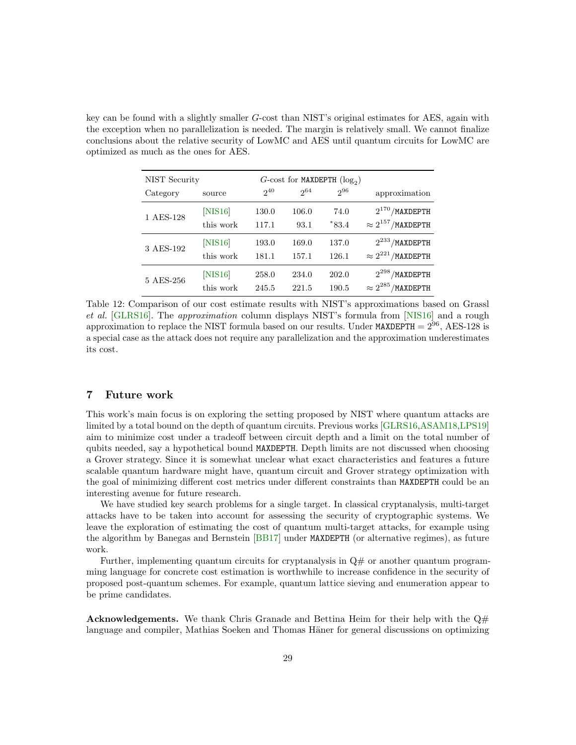<span id="page-28-0"></span>key can be found with a slightly smaller G-cost than NIST's original estimates for AES, again with the exception when no parallelization is needed. The margin is relatively small. We cannot finalize conclusions about the relative security of LowMC and AES until quantum circuits for LowMC are optimized as much as the ones for AES.

| NIST Security |           |          | $G$ -cost for MAXDEPTH $(\log_2)$ |         |                                     |
|---------------|-----------|----------|-----------------------------------|---------|-------------------------------------|
| Category      | source    | $2^{40}$ | $2^{64}$                          | 296     | approximation                       |
| 1 AES-128     | [NIS16]   | 130.0    | 106.0                             | 74.0    | $2^{170}$ /MAXDEPTH                 |
|               | this work | 117.1    | 93.1                              | $*83.4$ | $\approx 2^{157} / \text{MAXDEPTH}$ |
| 3 AES-192     | [NIS16]   | 193.0    | 169.0                             | 137.0   | $2^{233}$ /MAXDEPTH                 |
|               | this work | 181.1    | 157.1                             | 126.1   | $\approx 2^{221}$ /MAXDEPTH         |
| 5 AES-256     | [NIS16]   | 258.0    | 234.0                             | 202.0   | $2^{298}$ /MAXDEPTH                 |
|               | this work | 245.5    | 221.5                             | 190.5   | $\approx 2^{285}$ /MAXDEPTH         |

Table 12: Comparison of our cost estimate results with NIST's approximations based on Grassl et al. [\[GLRS16\]](#page-32-2). The approximation column displays NIST's formula from [\[NIS16\]](#page-32-1) and a rough approximation to replace the NIST formula based on our results. Under MAXDEPTH =  $2^{96}$ , AES-128 is a special case as the attack does not require any parallelization and the approximation underestimates its cost.

# 7 Future work

This work's main focus is on exploring the setting proposed by NIST where quantum attacks are limited by a total bound on the depth of quantum circuits. Previous works [\[GLRS16,](#page-32-2)[ASAM18](#page-31-0)[,LPS19\]](#page-32-4) aim to minimize cost under a tradeoff between circuit depth and a limit on the total number of qubits needed, say a hypothetical bound MAXDEPTH. Depth limits are not discussed when choosing a Grover strategy. Since it is somewhat unclear what exact characteristics and features a future scalable quantum hardware might have, quantum circuit and Grover strategy optimization with the goal of minimizing different cost metrics under different constraints than MAXDEPTH could be an interesting avenue for future research.

We have studied key search problems for a single target. In classical cryptanalysis, multi-target attacks have to be taken into account for assessing the security of cryptographic systems. We leave the exploration of estimating the cost of quantum multi-target attacks, for example using the algorithm by Banegas and Bernstein [\[BB17\]](#page-31-20) under MAXDEPTH (or alternative regimes), as future work.

Further, implementing quantum circuits for cryptanalysis in  $Q#$  or another quantum programming language for concrete cost estimation is worthwhile to increase confidence in the security of proposed post-quantum schemes. For example, quantum lattice sieving and enumeration appear to be prime candidates.

**Acknowledgements.** We thank Chris Granade and Bettina Heim for their help with the  $Q#$ language and compiler, Mathias Soeken and Thomas Häner for general discussions on optimizing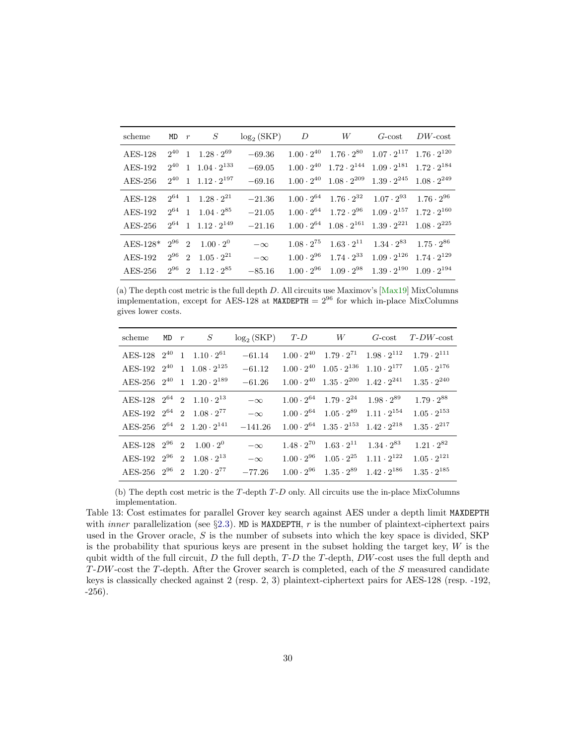<span id="page-29-0"></span>

| scheme     | $MD$ $r$   | S                                       | $log_2(SKP)$ | D                   | W                                        | $G$ -cost                                                     | $DW$ -cost           |
|------------|------------|-----------------------------------------|--------------|---------------------|------------------------------------------|---------------------------------------------------------------|----------------------|
| AES-128    |            | $2^{40}$ 1 $1.28 \cdot 2^{69}$          | $-69.36$     |                     | $1.00 \cdot 2^{40}$ $1.76 \cdot 2^{80}$  | $1.07 \cdot 2^{117}$                                          | $1.76 \cdot 2^{120}$ |
| AES-192    | $2^{40}$   | $1 \quad 1.04 \cdot 2^{133}$            | $-69.05$     |                     |                                          | $1.00 \cdot 2^{40}$ $1.72 \cdot 2^{144}$ $1.09 \cdot 2^{181}$ | $1.72 \cdot 2^{184}$ |
| AES-256    |            | $2^{40}$ 1 1.12 $\cdot$ $2^{197}$       | $-69.16$     |                     | $1.00 \cdot 2^{40}$ $1.08 \cdot 2^{209}$ | $1.39 \cdot 2^{245}$ $1.08 \cdot 2^{249}$                     |                      |
| AES-128    |            | $2^{64}$ 1 $1.28 \cdot 2^{21}$          | $-21.36$     | $1.00 \cdot 2^{64}$ | $1.76 \cdot 2^{32}$                      | $1.07 \cdot 2^{93}$                                           | $1.76 \cdot 2^{96}$  |
| AES-192    | $2^{64}$ 1 | $1.04 \cdot 2^{85}$                     | $-21.05$     |                     | $1.00 \cdot 2^{64}$ $1.72 \cdot 2^{96}$  | $1.09 \cdot 2^{157}$                                          | $1.72 \cdot 2^{160}$ |
| AES-256    |            | $2^{64}$ 1 1.12 $\cdot$ $2^{149}$       | $-21.16$     |                     | $1.00 \cdot 2^{64}$ $1.08 \cdot 2^{161}$ | $1.39 \cdot 2^{221}$                                          | $1.08 \cdot 2^{225}$ |
| $AES-128*$ | $2^{96}$ 2 | $1.00 \cdot 2^{0}$                      | $-\infty$    | $1.08 \cdot 2^{75}$ | $1.63 \cdot 2^{11}$                      | $1.34 \cdot 2^{83}$                                           | $1.75 \cdot 2^{86}$  |
| $AES-192$  | $2^{96}$ 2 | $1.05 \cdot 2^{21}$                     | $-\infty$    | $1.00 \cdot 2^{96}$ | $1.74 \cdot 2^{33}$                      | $1.09 \cdot 2^{126}$                                          | $1.74 \cdot 2^{129}$ |
| AES-256    |            | $2^{96}$ 2 1.12 $\cdot$ 2 <sup>85</sup> | $-85.16$     | $1.00 \cdot 2^{96}$ | $1.09 \cdot 2^{98}$                      | $1.39\cdot 2^{190}$                                           | $1.09 \cdot 2^{194}$ |

(a) The depth cost metric is the full depth  $D$ . All circuits use Maximov's [\[Max19\]](#page-32-25) MixColumns implementation, except for AES-128 at MAXDEPTH =  $2^{96}$  for which in-place MixColumns gives lower costs.

| scheme                                | $MD$ $r$ | S                                       | $log_2(SKP)$ | $T-D$ | W                                                             | $G\text{-cost}$     | $T$ -DW-cost         |
|---------------------------------------|----------|-----------------------------------------|--------------|-------|---------------------------------------------------------------|---------------------|----------------------|
|                                       |          | AES-128 $2^{40}$ 1 $1.10 \cdot 2^{61}$  | $-61.14$     |       | $1.00 \cdot 2^{40}$ $1.79 \cdot 2^{71}$ $1.98 \cdot 2^{112}$  |                     | $1.79 \cdot 2^{111}$ |
|                                       |          | AES-192 $2^{40}$ 1 $1.08 \cdot 2^{125}$ | $-61.12$     |       | $1.00 \cdot 2^{40}$ $1.05 \cdot 2^{136}$ $1.10 \cdot 2^{177}$ |                     | $1.05 \cdot 2^{176}$ |
|                                       |          | AES-256 $2^{40}$ 1 $1.20 \cdot 2^{189}$ | $-61.26$     |       | $1.00 \cdot 2^{40}$ $1.35 \cdot 2^{200}$ $1.42 \cdot 2^{241}$ |                     | $1.35 \cdot 2^{240}$ |
|                                       |          | AES-128 $2^{64}$ 2 $1.10 \cdot 2^{13}$  | $-\infty$    |       | $1.00 \cdot 2^{64}$ $1.79 \cdot 2^{24}$ $1.98 \cdot 2^{89}$   |                     | $1.79 \cdot 2^{88}$  |
|                                       |          | AES-192 $2^{64}$ 2 $1.08 \cdot 2^{77}$  | $-\infty$    |       | $1.00 \cdot 2^{64}$ $1.05 \cdot 2^{89}$ $1.11 \cdot 2^{154}$  |                     | $1.05 \cdot 2^{153}$ |
|                                       |          | AES-256 $2^{64}$ 2 $1.20 \cdot 2^{141}$ | $-141.26$    |       | $1.00 \cdot 2^{64}$ $1.35 \cdot 2^{153}$ $1.42 \cdot 2^{218}$ |                     | $1.35 \cdot 2^{217}$ |
| AES-128 $2^{96}$ 2 $1.00 \cdot 2^{0}$ |          |                                         | $-\infty$    |       | $1.48 \cdot 2^{70}$ $1.63 \cdot 2^{11}$                       | $1.34 \cdot 2^{83}$ | $1.21 \cdot 2^{82}$  |
|                                       |          | AES-192 $2^{96}$ 2 $1.08 \cdot 2^{13}$  | $-\infty$    |       | $1.00 \cdot 2^{96}$ $1.05 \cdot 2^{25}$ $1.11 \cdot 2^{122}$  |                     | $1.05 \cdot 2^{121}$ |
|                                       |          | AES-256 $2^{96}$ 2 $1.20 \cdot 2^{77}$  | $-77.26$     |       | $1.00 \cdot 2^{96}$ $1.35 \cdot 2^{89}$ $1.42 \cdot 2^{186}$  |                     | $1.35 \cdot 2^{185}$ |

(b) The depth cost metric is the T-depth T-D only. All circuits use the in-place MixColumns implementation.

Table 13: Cost estimates for parallel Grover key search against AES under a depth limit MAXDEPTH with *inner* parallelization (see  $\S2.3$ ). MD is MAXDEPTH, r is the number of plaintext-ciphertext pairs used in the Grover oracle, S is the number of subsets into which the key space is divided, SKP is the probability that spurious keys are present in the subset holding the target key,  $W$  is the qubit width of the full circuit,  $D$  the full depth,  $T-D$  the  $T$ -depth,  $DW$ -cost uses the full depth and T-DW-cost the T-depth. After the Grover search is completed, each of the S measured candidate keys is classically checked against 2 (resp. 2, 3) plaintext-ciphertext pairs for AES-128 (resp. -192, -256).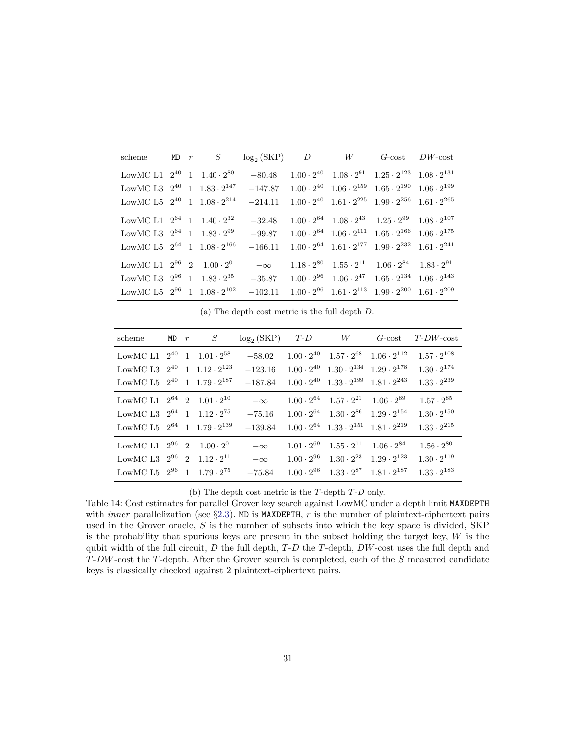<span id="page-30-0"></span>

| scheme                                   | $MD$ $r$ | S | $log_2(SKP)$ D | W                                       | $G\text{-}\mathrm{cost}$                                                           | $DW$ -cost          |
|------------------------------------------|----------|---|----------------|-----------------------------------------|------------------------------------------------------------------------------------|---------------------|
| LowMC L1 $2^{40}$ 1 $1.40 \cdot 2^{80}$  |          |   | $-80.48$       |                                         | $1.00 \cdot 2^{40}$ $1.08 \cdot 2^{91}$ $1.25 \cdot 2^{123}$ $1.08 \cdot 2^{131}$  |                     |
| LowMC L3 $2^{40}$ 1 $1.83 \cdot 2^{147}$ |          |   | $-147.87$      |                                         | $1.00 \cdot 2^{40}$ $1.06 \cdot 2^{159}$ $1.65 \cdot 2^{190}$ $1.06 \cdot 2^{199}$ |                     |
| LowMC L5 $2^{40}$ 1 $1.08 \cdot 2^{214}$ |          |   | $-214.11$      |                                         | $1.00 \cdot 2^{40}$ $1.61 \cdot 2^{225}$ $1.99 \cdot 2^{256}$ $1.61 \cdot 2^{265}$ |                     |
| LowMC L1 $2^{64}$ 1 $1.40 \cdot 2^{32}$  |          |   | $-32.48$       |                                         | $1.00 \cdot 2^{64}$ $1.08 \cdot 2^{43}$ $1.25 \cdot 2^{99}$ $1.08 \cdot 2^{107}$   |                     |
| LowMC L3 $2^{64}$ 1 $1.83 \cdot 2^{99}$  |          |   | $-99.87$       |                                         | $1.00 \cdot 2^{64}$ $1.06 \cdot 2^{111}$ $1.65 \cdot 2^{166}$ $1.06 \cdot 2^{175}$ |                     |
| LowMC L5 $2^{64}$ 1 $1.08 \cdot 2^{166}$ |          |   | $-166.11$      |                                         | $1.00 \cdot 2^{64}$ $1.61 \cdot 2^{177}$ $1.99 \cdot 2^{232}$ $1.61 \cdot 2^{241}$ |                     |
| LowMC L1 $2^{96}$ 2 $1.00 \cdot 2^{0}$   |          |   | $-\infty$      | $1.18 \cdot 2^{80}$ $1.55 \cdot 2^{11}$ | $1.06\cdot2^{84}$                                                                  | $1.83 \cdot 2^{91}$ |
| LowMC L3 $2^{96}$ 1 $1.83 \cdot 2^{35}$  |          |   | $-35.87$       |                                         | $1.00 \cdot 2^{96}$ $1.06 \cdot 2^{47}$ $1.65 \cdot 2^{134}$ $1.06 \cdot 2^{143}$  |                     |
| LowMC L5 $2^{96}$ 1 $1.08 \cdot 2^{102}$ |          |   | $-102.11$      |                                         | $1.00 \cdot 2^{96}$ $1.61 \cdot 2^{113}$ $1.99 \cdot 2^{200}$ $1.61 \cdot 2^{209}$ |                     |

(a) The depth cost metric is the full depth D.

| scheme                                                             | $MD$ $r$ | S | $\log_2\left(\text{SKP}\right)$ | $T-D$ | W                                                             | $G$ -cost            | $T$ -DW- $\cos t$    |
|--------------------------------------------------------------------|----------|---|---------------------------------|-------|---------------------------------------------------------------|----------------------|----------------------|
| LowMC L1 $\ 2^{40}$ $\ 1\quad 1.01\cdot 2^{58}$                    |          |   | $-58.02$                        |       | $1.00 \cdot 2^{40}$ $1.57 \cdot 2^{68}$ $1.06 \cdot 2^{112}$  |                      | $1.57 \cdot 2^{108}$ |
| LowMC L3 $2^{40}$ 1 $1.12 \cdot 2^{123}$                           |          |   | $-123.16$                       |       | $1.00 \cdot 2^{40}$ $1.30 \cdot 2^{134}$ $1.29 \cdot 2^{178}$ |                      | $1.30 \cdot 2^{174}$ |
| LowMC L5 $2^{40}$ 1 $1.79 \cdot 2^{187}$                           |          |   | $-187.84$                       |       | $1.00 \cdot 2^{40}$ $1.33 \cdot 2^{199}$ $1.81 \cdot 2^{243}$ |                      | $1.33 \cdot 2^{239}$ |
| LowMC L1 $2^{64}$ 2 $1.01 \cdot 2^{10}$                            |          |   | $-\infty$                       |       | $1.00 \cdot 2^{64}$ $1.57 \cdot 2^{21}$                       | $1.06 \cdot 2^{89}$  | $1.57 \cdot 2^{85}$  |
| LowMC L3 $2^{64}$ 1 $1.12 \cdot 2^{75}$                            |          |   | $-75.16$                        |       | $1.00 \cdot 2^{64}$ $1.30 \cdot 2^{86}$ $1.29 \cdot 2^{154}$  |                      | $1.30 \cdot 2^{150}$ |
| LowMC L5 $2^{64}$ 1 $1.79 \cdot 2^{139}$                           |          |   | $-139.84$                       |       | $1.00 \cdot 2^{64}$ $1.33 \cdot 2^{151}$ $1.81 \cdot 2^{219}$ |                      | $1.33 \cdot 2^{215}$ |
| LowMC L1 $\phantom{1}2^{96}\phantom{1}2\phantom{1}1.00\cdot 2^{0}$ |          |   | $-\infty$                       |       | $1.01 \cdot 2^{69}$ $1.55 \cdot 2^{11}$                       | $1.06 \cdot 2^{84}$  | $1.56 \cdot 2^{80}$  |
| LowMC L3 $2^{96}$ 2 $1.12 \cdot 2^{11}$                            |          |   | $-\infty$                       |       | $1.00 \cdot 2^{96}$ $1.30 \cdot 2^{23}$ $1.29 \cdot 2^{123}$  |                      | $1.30 \cdot 2^{119}$ |
| LowMC L5 $2^{96}$ 1 $1.79 \cdot 2^{75}$                            |          |   | $-75.84$                        |       | $1.00 \cdot 2^{96}$ $1.33 \cdot 2^{87}$                       | $1.81 \cdot 2^{187}$ | $1.33 \cdot 2^{183}$ |

(b) The depth cost metric is the T-depth T-D only.

Table 14: Cost estimates for parallel Grover key search against LowMC under a depth limit MAXDEPTH with *inner* parallelization (see  $\S2.3$ ). MD is MAXDEPTH, r is the number of plaintext-ciphertext pairs used in the Grover oracle, S is the number of subsets into which the key space is divided, SKP is the probability that spurious keys are present in the subset holding the target key,  $W$  is the qubit width of the full circuit,  $D$  the full depth,  $T-D$  the  $T$ -depth,  $DW$ -cost uses the full depth and  $T-DW$ -cost the  $T$ -depth. After the Grover search is completed, each of the  $S$  measured candidate keys is classically checked against 2 plaintext-ciphertext pairs.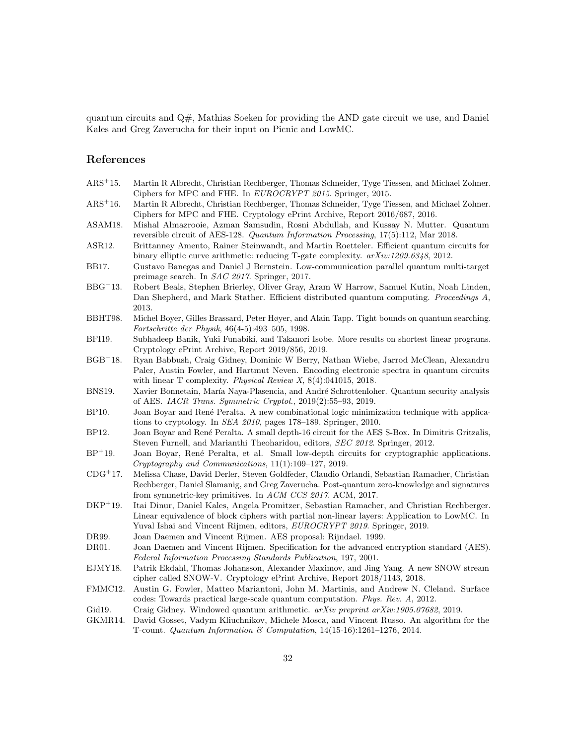quantum circuits and Q#, Mathias Soeken for providing the AND gate circuit we use, and Daniel Kales and Greg Zaverucha for their input on Picnic and LowMC.

# References

<span id="page-31-20"></span><span id="page-31-18"></span><span id="page-31-17"></span><span id="page-31-15"></span><span id="page-31-13"></span><span id="page-31-11"></span><span id="page-31-6"></span><span id="page-31-4"></span><span id="page-31-3"></span><span id="page-31-0"></span>

| $ARS+15.$     | Martin R Albrecht, Christian Rechberger, Thomas Schneider, Tyge Tiessen, and Michael Zohner.<br>Ciphers for MPC and FHE. In <i>EUROCRYPT 2015</i> . Springer, 2015.                                                                                                   |
|---------------|-----------------------------------------------------------------------------------------------------------------------------------------------------------------------------------------------------------------------------------------------------------------------|
| $ARS+16$ .    | Martin R Albrecht, Christian Rechberger, Thomas Schneider, Tyge Tiessen, and Michael Zohner.                                                                                                                                                                          |
|               | Ciphers for MPC and FHE. Cryptology ePrint Archive, Report 2016/687, 2016.                                                                                                                                                                                            |
| ASAM18.       | Mishal Almazrooie, Azman Samsudin, Rosni Abdullah, and Kussay N. Mutter. Quantum<br>reversible circuit of AES-128. Quantum Information Processing, 17(5):112, Mar 2018.                                                                                               |
| ASR12.        | Brittanney Amento, Rainer Steinwandt, and Martin Roetteler. Efficient quantum circuits for<br>binary elliptic curve arithmetic: reducing T-gate complexity. $arXiv:1209.6348, 2012$ .                                                                                 |
| BB17.         | Gustavo Banegas and Daniel J Bernstein. Low-communication parallel quantum multi-target<br>preimage search. In <i>SAC 2017</i> . Springer, 2017.                                                                                                                      |
| $BBG+13.$     | Robert Beals, Stephen Brierley, Oliver Gray, Aram W Harrow, Samuel Kutin, Noah Linden,<br>Dan Shepherd, and Mark Stather. Efficient distributed quantum computing. Proceedings A,<br>2013.                                                                            |
| BBHT98.       | Michel Boyer, Gilles Brassard, Peter Høyer, and Alain Tapp. Tight bounds on quantum searching.<br>Fortschritte der Physik, 46(4-5):493–505, 1998.                                                                                                                     |
| <b>BFI19.</b> | Subhadeep Banik, Yuki Funabiki, and Takanori Isobe. More results on shortest linear programs.<br>Cryptology ePrint Archive, Report 2019/856, 2019.                                                                                                                    |
| $BGB+18.$     | Ryan Babbush, Craig Gidney, Dominic W Berry, Nathan Wiebe, Jarrod McClean, Alexandru<br>Paler, Austin Fowler, and Hartmut Neven. Encoding electronic spectra in quantum circuits<br>with linear T complexity. Physical Review X, $8(4):041015$ , 2018.                |
| <b>BNS19.</b> | Xavier Bonnetain, María Naya-Plasencia, and André Schrottenloher. Quantum security analysis<br>of AES. IACR Trans. Symmetric Cryptol., 2019(2):55-93, 2019.                                                                                                           |
| BP10.         | Joan Boyar and René Peralta. A new combinational logic minimization technique with applica-<br>tions to cryptology. In SEA $2010$ , pages 178-189. Springer, 2010.                                                                                                    |
| BP12.         | Joan Boyar and René Peralta. A small depth-16 circuit for the AES S-Box. In Dimitris Gritzalis,<br>Steven Furnell, and Marianthi Theoharidou, editors, SEC 2012. Springer, 2012.                                                                                      |
| $BP+19.$      | Joan Boyar, René Peralta, et al. Small low-depth circuits for cryptographic applications.<br>Cryptography and Communications, 11(1):109-127, 2019.                                                                                                                    |
| $CDG+17.$     | Melissa Chase, David Derler, Steven Goldfeder, Claudio Orlandi, Sebastian Ramacher, Christian<br>Rechberger, Daniel Slamanig, and Greg Zaverucha. Post-quantum zero-knowledge and signatures<br>from symmetric-key primitives. In ACM CCS 2017. ACM, 2017.            |
| $DKP+19.$     | Itai Dinur, Daniel Kales, Angela Promitzer, Sebastian Ramacher, and Christian Rechberger.<br>Linear equivalence of block ciphers with partial non-linear layers: Application to LowMC. In<br>Yuval Ishai and Vincent Rijmen, editors, EUROCRYPT 2019. Springer, 2019. |
| DR99.         | Joan Daemen and Vincent Rijmen. AES proposal: Rijndael. 1999.                                                                                                                                                                                                         |
| DR01.         | Joan Daemen and Vincent Rijmen. Specification for the advanced encryption standard (AES).<br>Federal Information Processing Standards Publication, 197, 2001.                                                                                                         |
| EJMY18.       | Patrik Ekdahl, Thomas Johansson, Alexander Maximov, and Jing Yang. A new SNOW stream<br>cipher called SNOW-V. Cryptology ePrint Archive, Report 2018/1143, 2018.                                                                                                      |
| FMMC12.       | Austin G. Fowler, Matteo Mariantoni, John M. Martinis, and Andrew N. Cleland. Surface<br>codes: Towards practical large-scale quantum computation. Phys. Rev. A, 2012.                                                                                                |
| Gid19.        | Craig Gidney. Windowed quantum arithmetic. arXiv preprint arXiv:1905.07682, 2019.                                                                                                                                                                                     |

<span id="page-31-19"></span><span id="page-31-16"></span><span id="page-31-14"></span><span id="page-31-12"></span><span id="page-31-10"></span><span id="page-31-9"></span><span id="page-31-8"></span><span id="page-31-7"></span><span id="page-31-5"></span><span id="page-31-2"></span><span id="page-31-1"></span>GKMR14. David Gosset, Vadym Kliuchnikov, Michele Mosca, and Vincent Russo. An algorithm for the T-count.  $Quantum\ Information$  & Computation, 14(15-16):1261–1276, 2014.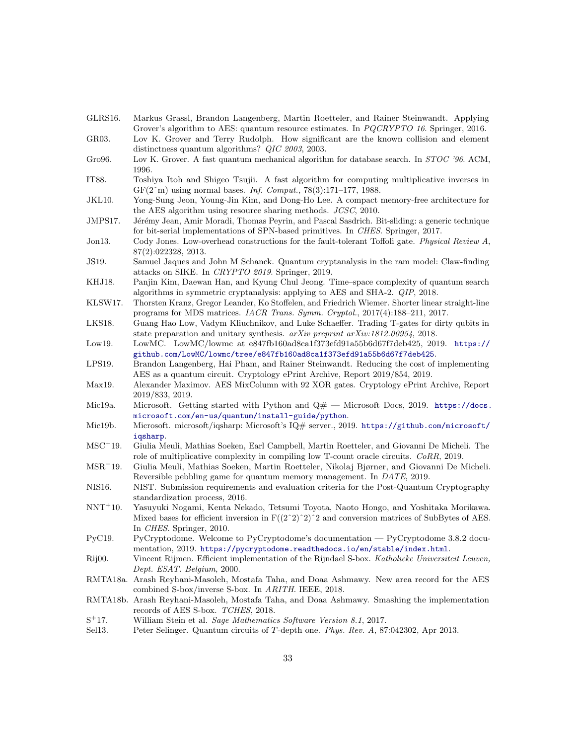<span id="page-32-25"></span><span id="page-32-24"></span><span id="page-32-23"></span><span id="page-32-22"></span><span id="page-32-21"></span><span id="page-32-20"></span><span id="page-32-19"></span><span id="page-32-18"></span><span id="page-32-17"></span><span id="page-32-16"></span><span id="page-32-15"></span><span id="page-32-14"></span><span id="page-32-13"></span><span id="page-32-12"></span><span id="page-32-11"></span><span id="page-32-10"></span><span id="page-32-9"></span><span id="page-32-8"></span><span id="page-32-7"></span><span id="page-32-6"></span><span id="page-32-5"></span><span id="page-32-4"></span><span id="page-32-3"></span><span id="page-32-1"></span><span id="page-32-0"></span>Grover's algorithm to AES: quantum resource estimates. In PQCRYPTO 16. Springer, 2016. GR03. Lov K. Grover and Terry Rudolph. How significant are the known collision and element distinctness quantum algorithms? QIC 2003, 2003. Gro96. Lov K. Grover. A fast quantum mechanical algorithm for database search. In STOC '96. ACM, 1996. IT88. Toshiya Itoh and Shigeo Tsujii. A fast algorithm for computing multiplicative inverses in GF(2ˆm) using normal bases. Inf. Comput., 78(3):171–177, 1988. JKL10. Yong-Sung Jeon, Young-Jin Kim, and Dong-Ho Lee. A compact memory-free architecture for the AES algorithm using resource sharing methods. JCSC, 2010. JMPS17. Jérémy Jean, Amir Moradi, Thomas Peyrin, and Pascal Sasdrich. Bit-sliding: a generic technique for bit-serial implementations of SPN-based primitives. In CHES. Springer, 2017. Jon13. Cody Jones. Low-overhead constructions for the fault-tolerant Toffoli gate. Physical Review A, 87(2):022328, 2013. JS19. Samuel Jaques and John M Schanck. Quantum cryptanalysis in the ram model: Claw-finding attacks on SIKE. In CRYPTO 2019. Springer, 2019. KHJ18. Panjin Kim, Daewan Han, and Kyung Chul Jeong. Time–space complexity of quantum search algorithms in symmetric cryptanalysis: applying to AES and SHA-2. QIP, 2018. KLSW17. Thorsten Kranz, Gregor Leander, Ko Stoffelen, and Friedrich Wiemer. Shorter linear straight-line programs for MDS matrices. IACR Trans. Symm. Cryptol., 2017(4):188–211, 2017. LKS18. Guang Hao Low, Vadym Kliuchnikov, and Luke Schaeffer. Trading T-gates for dirty qubits in state preparation and unitary synthesis. arXiv preprint arXiv:1812.00954, 2018. Low19. LowMC. LowMC/lowmc at e847fb160ad8ca1f373efd91a55b6d67f7deb425, 2019. [https://](https://github.com/LowMC/lowmc/tree/e847fb160ad8ca1f373efd91a55b6d67f7deb425) [github.com/LowMC/lowmc/tree/e847fb160ad8ca1f373efd91a55b6d67f7deb425](https://github.com/LowMC/lowmc/tree/e847fb160ad8ca1f373efd91a55b6d67f7deb425). LPS19. Brandon Langenberg, Hai Pham, and Rainer Steinwandt. Reducing the cost of implementing AES as a quantum circuit. Cryptology ePrint Archive, Report 2019/854, 2019. Max19. Alexander Maximov. AES MixColumn with 92 XOR gates. Cryptology ePrint Archive, Report 2019/833, 2019. Mic19a. Microsoft. Getting started with Python and  $Q#$  — Microsoft Docs, 2019. [https://docs.](https://docs.microsoft.com/en-us/quantum/install-guide/python) [microsoft.com/en-us/quantum/install-guide/python](https://docs.microsoft.com/en-us/quantum/install-guide/python). Mic19b. Microsoft. microsoft/iqsharp: Microsoft's IQ# server., 2019. [https://github.com/microsoft/](https://github.com/microsoft/iqsharp) [iqsharp](https://github.com/microsoft/iqsharp). MSC<sup>+</sup>19. Giulia Meuli, Mathias Soeken, Earl Campbell, Martin Roetteler, and Giovanni De Micheli. The role of multiplicative complexity in compiling low T-count oracle circuits. CoRR, 2019. MSR<sup>+</sup>19. Giulia Meuli, Mathias Soeken, Martin Roetteler, Nikolaj Bjørner, and Giovanni De Micheli. Reversible pebbling game for quantum memory management. In DATE, 2019. NIS16. NIST. Submission requirements and evaluation criteria for the Post-Quantum Cryptography standardization process, 2016. NNT<sup>+</sup>10. Yasuyuki Nogami, Kenta Nekado, Tetsumi Toyota, Naoto Hongo, and Yoshitaka Morikawa. Mixed bases for efficient inversion in  $F((2^2)^2)^2$  and conversion matrices of SubBytes of AES. In CHES. Springer, 2010. PyC19. PyCryptodome. Welcome to PyCryptodome's documentation — PyCryptodome 3.8.2 documentation, 2019. <https://pycryptodome.readthedocs.io/en/stable/index.html>. Rij00. Vincent Rijmen. Efficient implementation of the Rijndael S-box. Katholieke Universiteit Leuven, Dept. ESAT. Belgium, 2000. RMTA18a. Arash Reyhani-Masoleh, Mostafa Taha, and Doaa Ashmawy. New area record for the AES combined S-box/inverse S-box. In ARITH. IEEE, 2018. RMTA18b. Arash Reyhani-Masoleh, Mostafa Taha, and Doaa Ashmawy. Smashing the implementation records of AES S-box. TCHES, 2018.  $S^+17$ . William Stein et al. Sage Mathematics Software Version 8.1, 2017. Sel13. Peter Selinger. Quantum circuits of T-depth one. Phys. Rev. A, 87:042302, Apr 2013.

<span id="page-32-2"></span>GLRS16. Markus Grassl, Brandon Langenberg, Martin Roetteler, and Rainer Steinwandt. Applying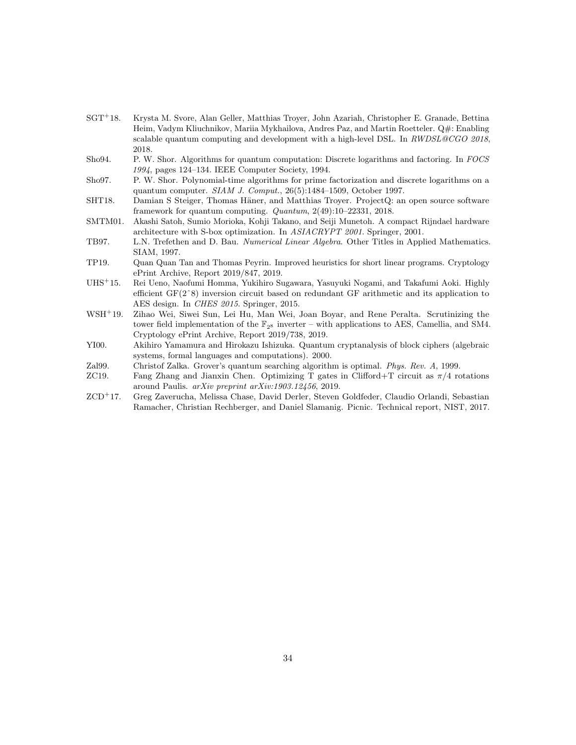- <span id="page-33-2"></span>SGT<sup>+</sup>18. Krysta M. Svore, Alan Geller, Matthias Troyer, John Azariah, Christopher E. Granade, Bettina Heim, Vadym Kliuchnikov, Mariia Mykhailova, Andres Paz, and Martin Roetteler. Q#: Enabling scalable quantum computing and development with a high-level DSL. In RWDSL@CGO 2018, 2018.
- <span id="page-33-0"></span>Sho94. P. W. Shor. Algorithms for quantum computation: Discrete logarithms and factoring. In FOCS 1994, pages 124–134. IEEE Computer Society, 1994.
- <span id="page-33-1"></span>Sho97. P. W. Shor. Polynomial-time algorithms for prime factorization and discrete logarithms on a quantum computer. SIAM J. Comput., 26(5):1484–1509, October 1997.
- <span id="page-33-11"></span>SHT18. Damian S Steiger, Thomas Häner, and Matthias Troyer. ProjectQ: an open source software framework for quantum computing. Quantum, 2(49):10–22331, 2018.
- <span id="page-33-8"></span>SMTM01. Akashi Satoh, Sumio Morioka, Kohji Takano, and Seiji Munetoh. A compact Rijndael hardware architecture with S-box optimization. In ASIACRYPT 2001. Springer, 2001.
- <span id="page-33-6"></span>TB97. L.N. Trefethen and D. Bau. Numerical Linear Algebra. Other Titles in Applied Mathematics. SIAM, 1997.
- <span id="page-33-12"></span>TP19. Quan Quan Tan and Thomas Peyrin. Improved heuristics for short linear programs. Cryptology ePrint Archive, Report 2019/847, 2019.
- <span id="page-33-9"></span>UHS<sup>+</sup>15. Rei Ueno, Naofumi Homma, Yukihiro Sugawara, Yasuyuki Nogami, and Takafumi Aoki. Highly efficient GF(2ˆ8) inversion circuit based on redundant GF arithmetic and its application to AES design. In CHES 2015. Springer, 2015.
- <span id="page-33-10"></span>WSH<sup>+</sup>19. Zihao Wei, Siwei Sun, Lei Hu, Man Wei, Joan Boyar, and Rene Peralta. Scrutinizing the tower field implementation of the  $\mathbb{F}_{28}$  inverter – with applications to AES, Camellia, and SM4. Cryptology ePrint Archive, Report 2019/738, 2019.
- <span id="page-33-5"></span>YI00. Akihiro Yamamura and Hirokazu Ishizuka. Quantum cryptanalysis of block ciphers (algebraic systems, formal languages and computations). 2000.
- <span id="page-33-3"></span>Zal99. Christof Zalka. Grover's quantum searching algorithm is optimal. Phys. Rev. A, 1999.
- <span id="page-33-7"></span>ZC19. Fang Zhang and Jianxin Chen. Optimizing T gates in Clifford+T circuit as  $\pi/4$  rotations around Paulis. arXiv preprint arXiv:1903.12456, 2019.
- <span id="page-33-4"></span>ZCD<sup>+</sup>17. Greg Zaverucha, Melissa Chase, David Derler, Steven Goldfeder, Claudio Orlandi, Sebastian Ramacher, Christian Rechberger, and Daniel Slamanig. Picnic. Technical report, NIST, 2017.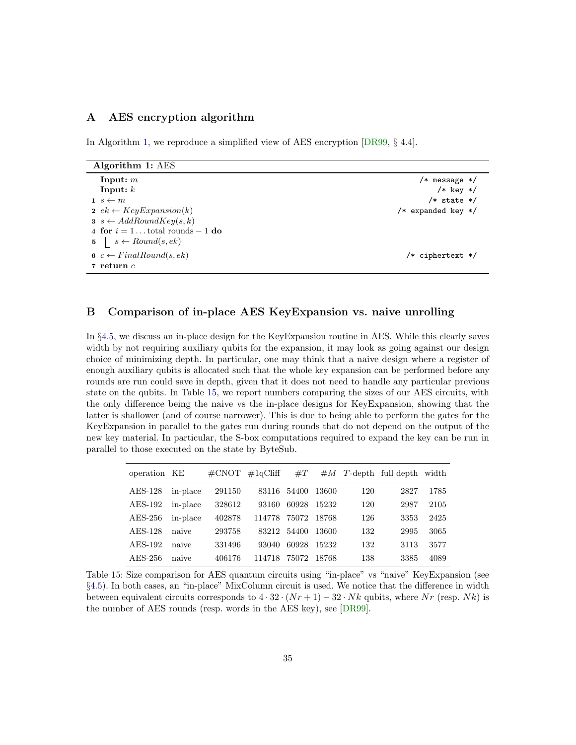## <span id="page-34-1"></span>A AES encryption algorithm

In Algorithm [1,](#page-34-2) we reproduce a simplified view of AES encryption [\[DR99,](#page-31-9) § 4.4].

<span id="page-34-2"></span>

| Algorithm 1: AES                              |                        |
|-----------------------------------------------|------------------------|
| Input: $m$                                    | $/*$ message $*/$      |
| Input: $k$                                    | $/*$ key $*/$          |
| $1 \, s \leftarrow m$                         | $/*$ state $*/$        |
| $2 \, ek \leftarrow Key Expansion(k)$         | $/*$ expanded key $*/$ |
| $s \leftarrow AddRoundKey(s, k)$              |                        |
| 4 for $i = 1$ total rounds - 1 do             |                        |
| $5 \quad s \leftarrow Round(s, ek)$           |                        |
| $\mathbf{6} \ c \leftarrow FinalRound(s, ek)$ | $/*$ ciphertext */     |
| $7$ return $c$                                |                        |

# <span id="page-34-0"></span>B Comparison of in-place AES KeyExpansion vs. naive unrolling

In §[4.5,](#page-15-2) we discuss an in-place design for the KeyExpansion routine in AES. While this clearly saves width by not requiring auxiliary qubits for the expansion, it may look as going against our design choice of minimizing depth. In particular, one may think that a naive design where a register of enough auxiliary qubits is allocated such that the whole key expansion can be performed before any rounds are run could save in depth, given that it does not need to handle any particular previous state on the qubits. In Table [15,](#page-34-3) we report numbers comparing the sizes of our AES circuits, with the only difference being the naive vs the in-place designs for KeyExpansion, showing that the latter is shallower (and of course narrower). This is due to being able to perform the gates for the KeyExpansion in parallel to the gates run during rounds that do not depend on the output of the new key material. In particular, the S-box computations required to expand the key can be run in parallel to those executed on the state by ByteSub.

<span id="page-34-3"></span>

| operation KE |          | $\#\text{CNOT}$ | $\#1qCliff$ | $\#T$ |       |     | $\#M$ T-depth full depth width |      |
|--------------|----------|-----------------|-------------|-------|-------|-----|--------------------------------|------|
| $AES-128$    | in-place | 291150          | 83116       | 54400 | 13600 | 120 | 2827                           | 1785 |
| $AES-192$    | in-place | 328612          | 93160       | 60928 | 15232 | 120 | 2987                           | 2105 |
| $AES-256$    | in-place | 402878          | 114778      | 75072 | 18768 | 126 | 3353                           | 2425 |
| AES-128      | naive    | 293758          | 83212       | 54400 | 13600 | 132 | 2995                           | 3065 |
| AES-192      | naive    | 331496          | 93040       | 60928 | 15232 | 132 | 3113                           | 3577 |
| $AES-256$    | naive    | 406176          | 114718      | 75072 | 18768 | 138 | 3385                           | 4089 |

Table 15: Size comparison for AES quantum circuits using "in-place" vs "naive" KeyExpansion (see §[4.5\)](#page-15-2). In both cases, an "in-place" MixColumn circuit is used. We notice that the difference in width between equivalent circuits corresponds to  $4 \cdot 32 \cdot (Nr + 1) - 32 \cdot Nk$  qubits, where Nr (resp. Nk) is the number of AES rounds (resp. words in the AES key), see [\[DR99\]](#page-31-9).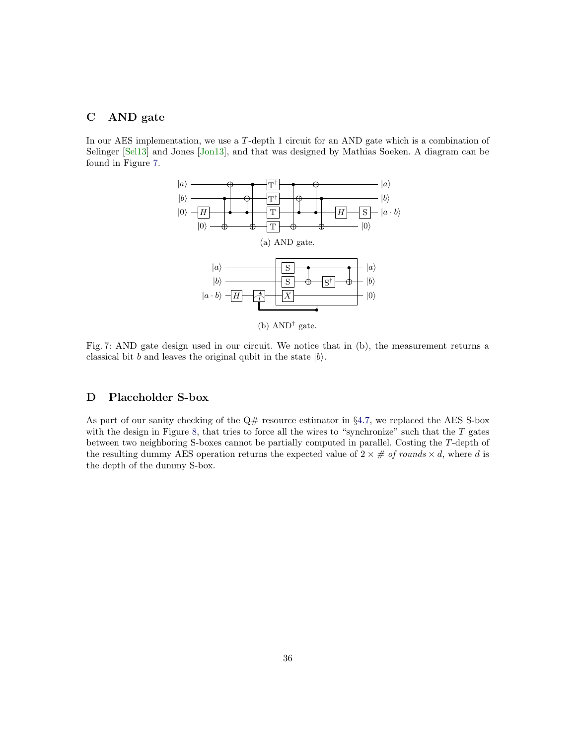## <span id="page-35-0"></span>C AND gate

<span id="page-35-2"></span>In our AES implementation, we use a T-depth 1 circuit for an AND gate which is a combination of Selinger [\[Sel13\]](#page-32-7) and Jones [\[Jon13\]](#page-32-8), and that was designed by Mathias Soeken. A diagram can be found in Figure [7.](#page-35-2)



Fig. 7: AND gate design used in our circuit. We notice that in (b), the measurement returns a classical bit b and leaves the original qubit in the state  $|b\rangle$ .

# <span id="page-35-1"></span>D Placeholder S-box

As part of our sanity checking of the  $Q#$  resource estimator in §[4.7,](#page-17-1) we replaced the AES S-box with the design in Figure [8,](#page-36-0) that tries to force all the wires to "synchronize" such that the  $T$  gates between two neighboring S-boxes cannot be partially computed in parallel. Costing the T-depth of the resulting dummy AES operation returns the expected value of  $2 \times #$  of rounds  $\times d$ , where d is the depth of the dummy S-box.